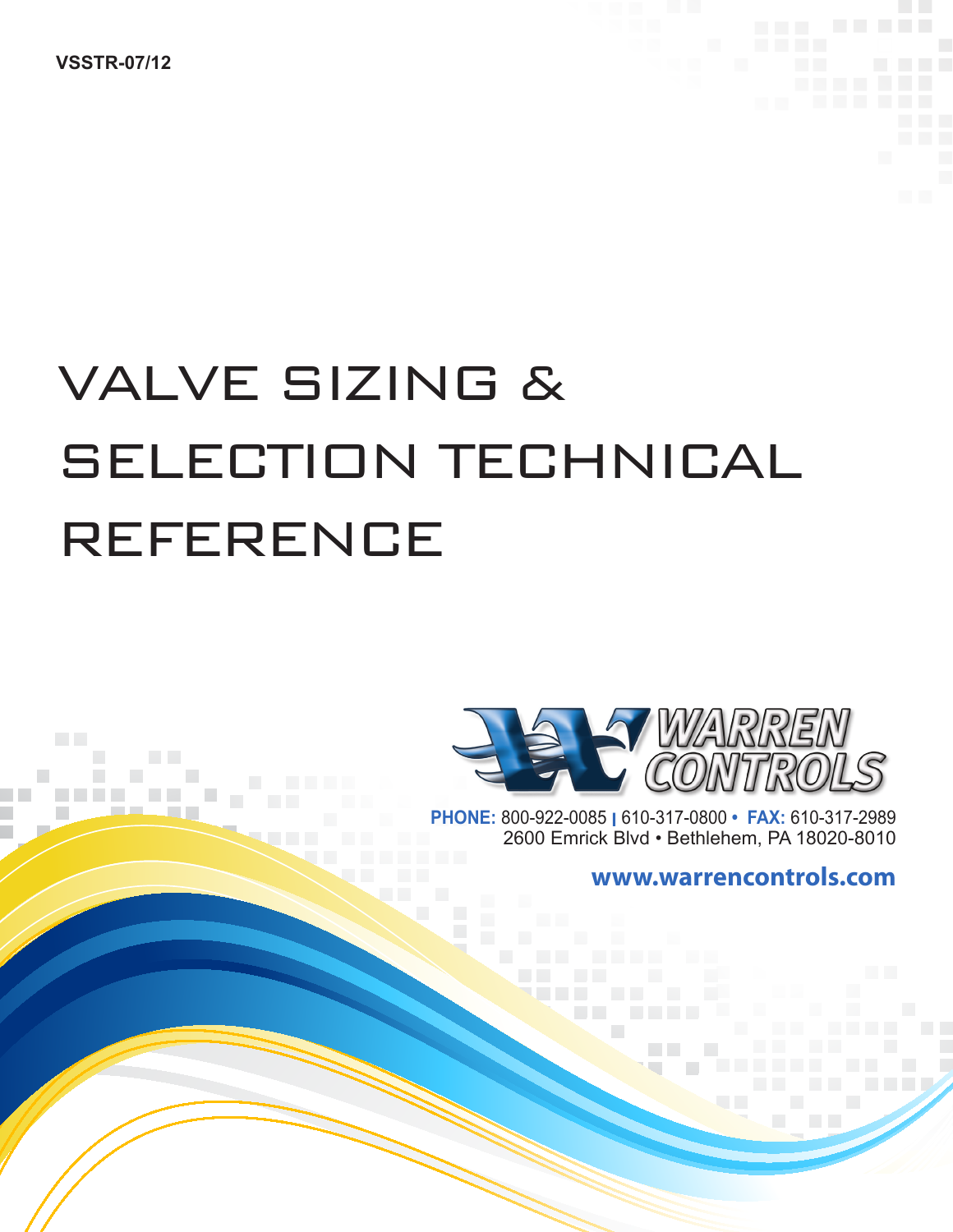**VSSTR-07/12**

**Controller** 

**Contract Contract** 

# VALVE SIZING & SELECTION TECHNICAL REFERENCE



**PHONE:** 800-922-0085 **l** 610-317-0800 **• FAX:** 610-317-2989 2600 Emrick Blvd • Bethlehem, PA 18020-8010

**COL** 

**www.warrencontrols.com**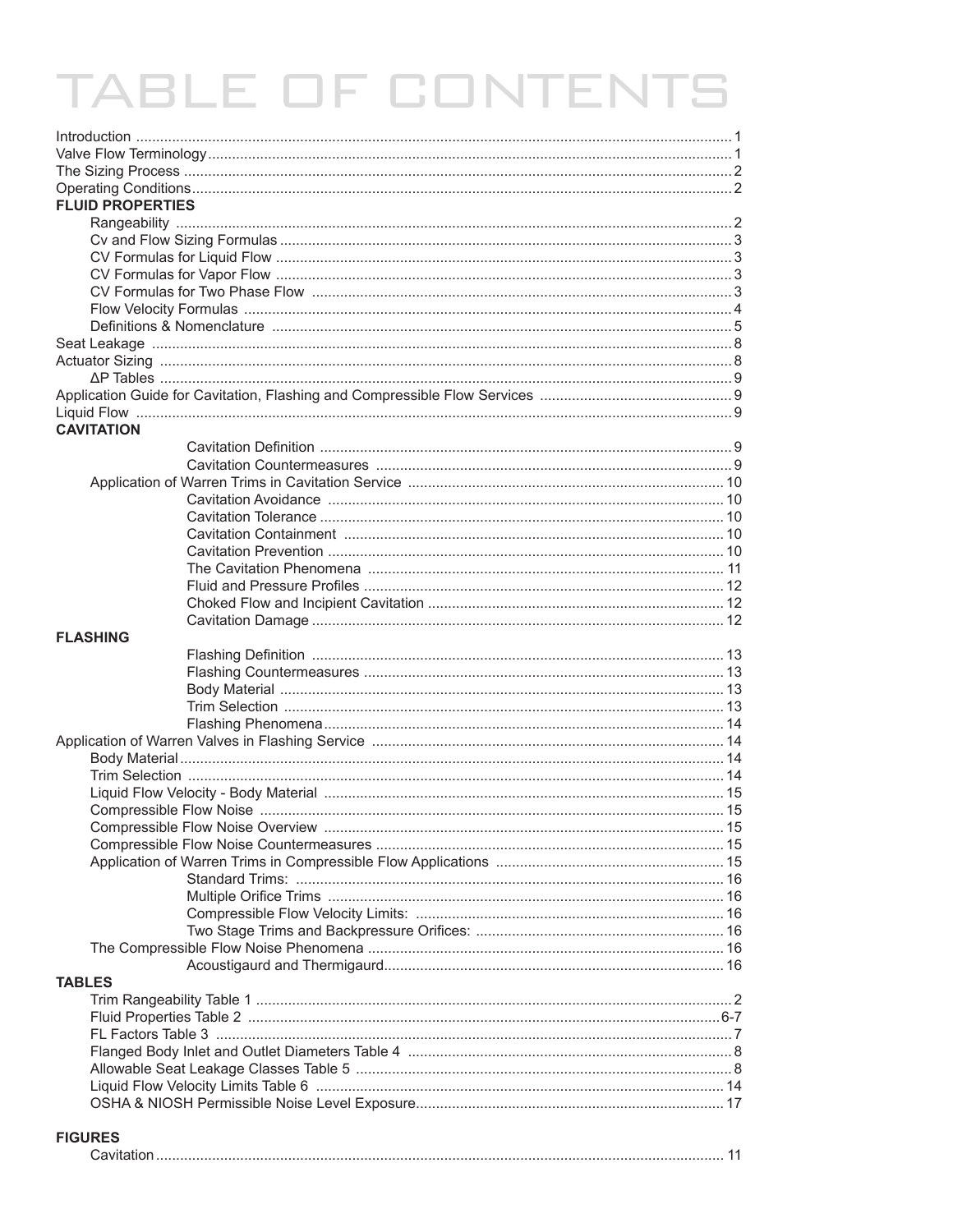# **TABLE OF CONTENTS**

| <b>FLUID PROPERTIES</b> |  |
|-------------------------|--|
|                         |  |
|                         |  |
|                         |  |
|                         |  |
|                         |  |
|                         |  |
|                         |  |
|                         |  |
|                         |  |
|                         |  |
|                         |  |
| <b>CAVITATION</b>       |  |
|                         |  |
|                         |  |
|                         |  |
|                         |  |
|                         |  |
|                         |  |
|                         |  |
|                         |  |
|                         |  |
|                         |  |
| <b>FLASHING</b>         |  |
|                         |  |
|                         |  |
|                         |  |
|                         |  |
|                         |  |
|                         |  |
|                         |  |
|                         |  |
|                         |  |
|                         |  |
|                         |  |
|                         |  |
|                         |  |
|                         |  |
|                         |  |
|                         |  |
|                         |  |
|                         |  |
|                         |  |
| <b>TABLES</b>           |  |
|                         |  |
|                         |  |
|                         |  |
|                         |  |
|                         |  |
|                         |  |
|                         |  |
| <b>FIGURES</b>          |  |

|--|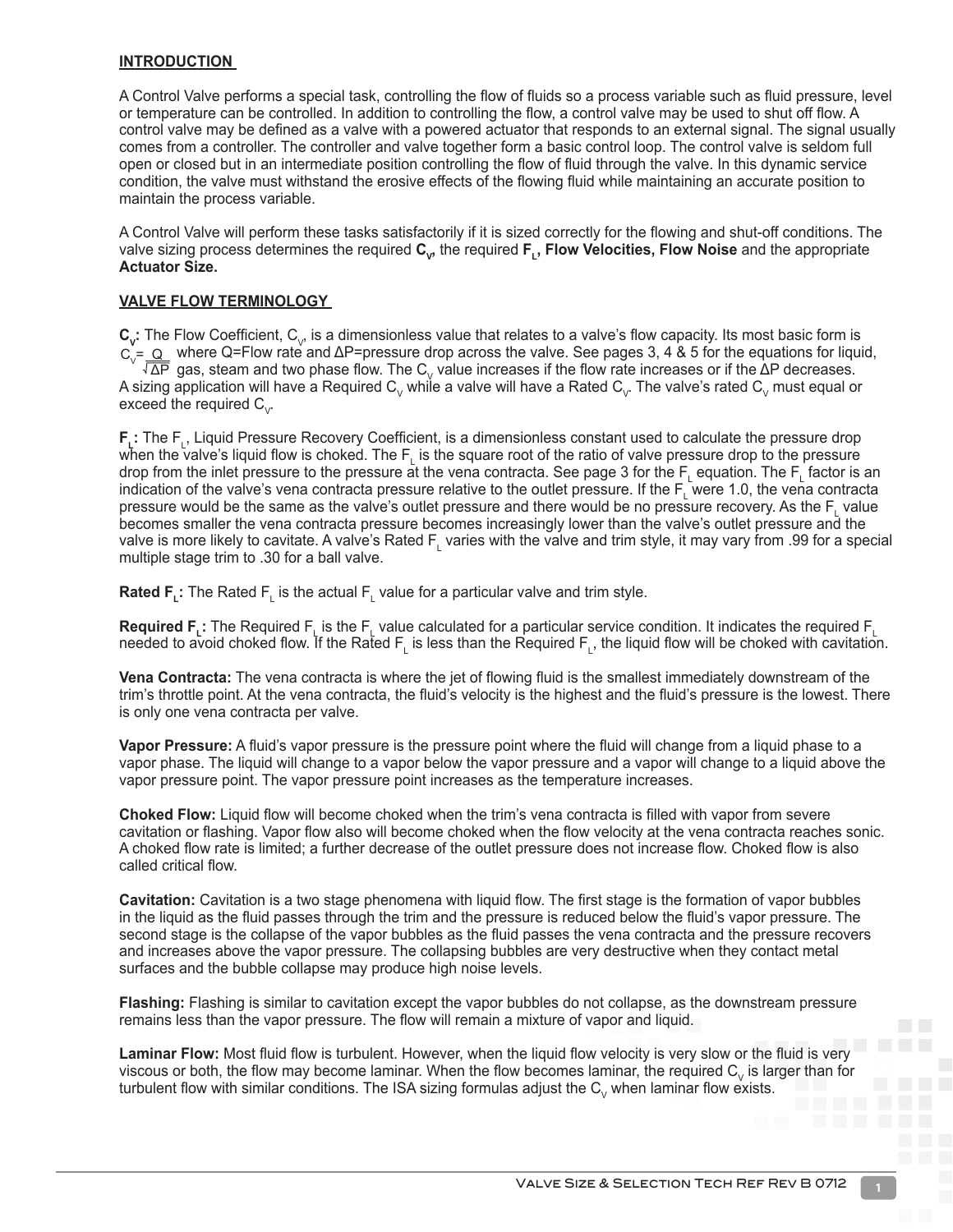#### **INTRODUCTION**

A Control Valve performs a special task, controlling the flow of fluids so a process variable such as fluid pressure, level or temperature can be controlled. In addition to controlling the flow, a control valve may be used to shut off flow. A control valve may be defined as a valve with a powered actuator that responds to an external signal. The signal usually comes from a controller. The controller and valve together form a basic control loop. The control valve is seldom full open or closed but in an intermediate position controlling the flow of fluid through the valve. In this dynamic service condition, the valve must withstand the erosive effects of the flowing fluid while maintaining an accurate position to maintain the process variable.

A Control Valve will perform these tasks satisfactorily if it is sized correctly for the flowing and shut-off conditions. The valve sizing process determines the required  $C_{\nu}$ , the required **F<sub>1</sub>**, **Flow Velocities, Flow Noise** and the appropriate **Actuator Size.**

#### **VALVE FLOW TERMINOLOGY**

 $C_v$ : The Flow Coefficient,  $C_v$ , is a dimensionless value that relates to a valve's flow capacity. Its most basic form is where Q=Flow rate and ΔP=pressure drop across the valve. See pages 3, 4 & 5 for the equations for liquid, gas, steam and two phase flow. The  $C_y$  value increases if the flow rate increases or if the ΔP decreases. A sizing application will have a Required  ${\sf C}_\vee$  while a valve will have a Rated  ${\sf C}_\vee$  The valve's rated  ${\sf C}_\vee$  must equal or exceed the required  $C_{y}$ .  $C_v = \frac{Q}{\sqrt{\Delta P}}$ 

**F<sub>L</sub>:** The F<sub>L</sub>, Liquid Pressure Recovery Coefficient, is a dimensionless constant used to calculate the pressure drop when the valve's liquid flow is choked. The  $F_{\perp}$  is the square root of the ratio of valve pressure drop to the pressure drop from the inlet pressure to the pressure at the vena contracta. See page 3 for the  $F_L$  equation. The  $F_L$  factor is an indication of the valve's vena contracta pressure relative to the outlet pressure. If the  $F_L$  were 1.0, the vena contracta pressure would be the same as the valve's outlet pressure and there would be no pressure recovery. As the F<sub>L</sub> value becomes smaller the vena contracta pressure becomes increasingly lower than the valve's outlet pressure and the valve is more likely to cavitate. A valve's Rated  $F<sub>L</sub>$  varies with the valve and trim style, it may vary from .99 for a special multiple stage trim to .30 for a ball valve.

**Rated F<sub>L</sub>:** The Rated F<sub>L</sub> is the actual F<sub>L</sub> value for a particular valve and trim style.

**Required F<sub>L</sub>:** The Required F<sub>L</sub> is the F<sub>L</sub> value calculated for a particular service condition. It indicates the required F<sub>L</sub> needed to avoid choked flow. If the Rated  $\mathsf{F}_{\textsf{L}}$  is less than the Required  $\mathsf{F}_{\textsf{L}}$ , the liquid flow will be choked with cavitation.

**Vena Contracta:** The vena contracta is where the jet of flowing fluid is the smallest immediately downstream of the trim's throttle point. At the vena contracta, the fluid's velocity is the highest and the fluid's pressure is the lowest. There is only one vena contracta per valve.

**Vapor Pressure:** A fluid's vapor pressure is the pressure point where the fluid will change from a liquid phase to a vapor phase. The liquid will change to a vapor below the vapor pressure and a vapor will change to a liquid above the vapor pressure point. The vapor pressure point increases as the temperature increases.

**Choked Flow:** Liquid flow will become choked when the trim's vena contracta is filled with vapor from severe cavitation or flashing. Vapor flow also will become choked when the flow velocity at the vena contracta reaches sonic. A choked flow rate is limited; a further decrease of the outlet pressure does not increase flow. Choked flow is also called critical flow.

**Cavitation:** Cavitation is a two stage phenomena with liquid flow. The first stage is the formation of vapor bubbles in the liquid as the fluid passes through the trim and the pressure is reduced below the fluid's vapor pressure. The second stage is the collapse of the vapor bubbles as the fluid passes the vena contracta and the pressure recovers and increases above the vapor pressure. The collapsing bubbles are very destructive when they contact metal surfaces and the bubble collapse may produce high noise levels.

**Flashing:** Flashing is similar to cavitation except the vapor bubbles do not collapse, as the downstream pressure remains less than the vapor pressure. The flow will remain a mixture of vapor and liquid.

**Laminar Flow:** Most fluid flow is turbulent. However, when the liquid flow velocity is very slow or the fluid is very viscous or both, the flow may become laminar. When the flow becomes laminar, the required  $C_{\nu}$  is larger than for turbulent flow with similar conditions. The ISA sizing formulas adjust the  $C_v$  when laminar flow exists.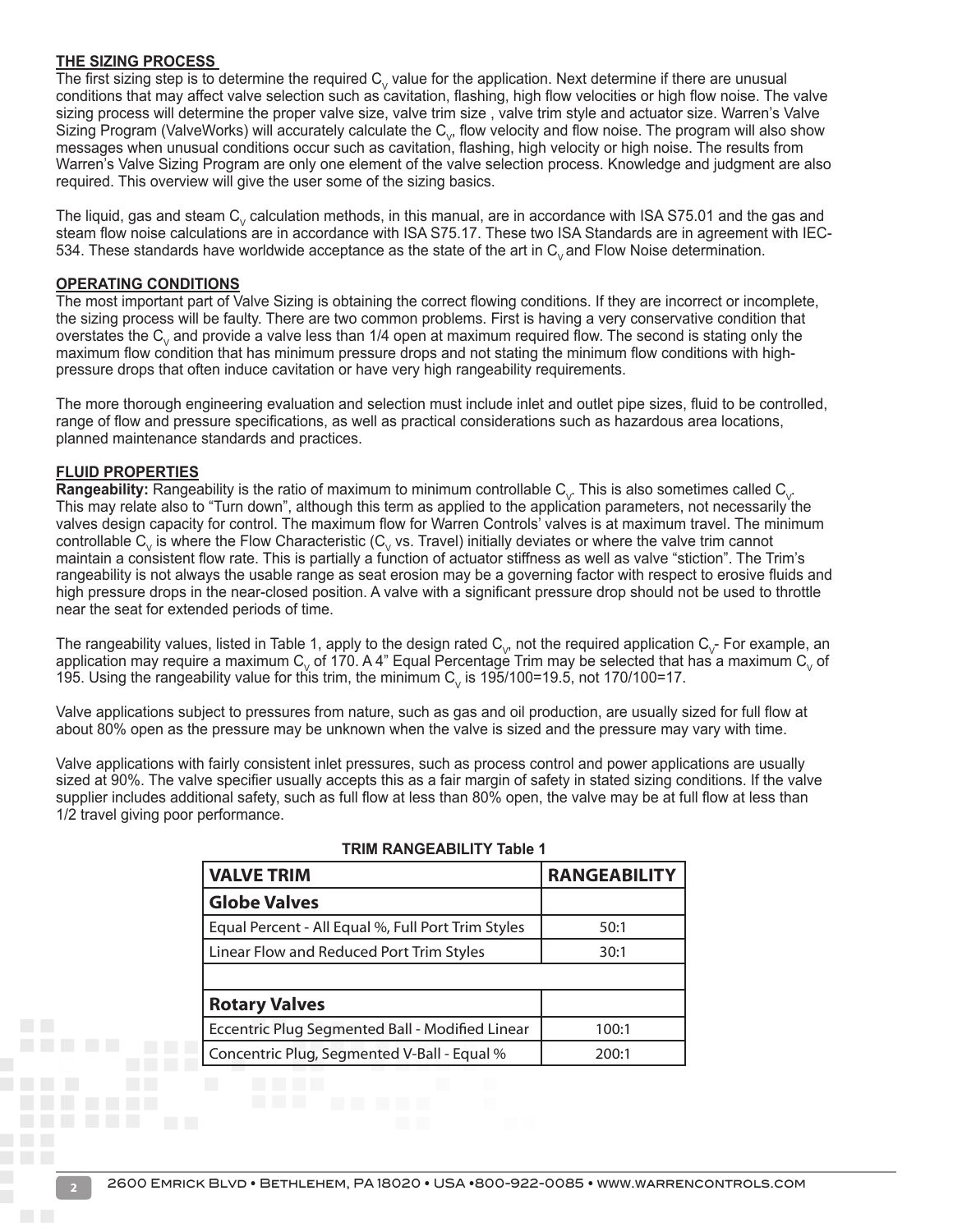#### **THE SIZING PROCESS**

The first sizing step is to determine the required  $C_V$  value for the application. Next determine if there are unusual conditions that may affect valve selection such as cavitation, flashing, high flow velocities or high flow noise. The valve sizing process will determine the proper valve size, valve trim size , valve trim style and actuator size. Warren's Valve Sizing Program (ValveWorks) will accurately calculate the  $C_{\vee}$ , flow velocity and flow noise. The program will also show messages when unusual conditions occur such as cavitation, flashing, high velocity or high noise. The results from Warren's Valve Sizing Program are only one element of the valve selection process. Knowledge and judgment are also required. This overview will give the user some of the sizing basics.

The liquid, gas and steam  $C_v$  calculation methods, in this manual, are in accordance with ISA S75.01 and the gas and steam flow noise calculations are in accordance with ISA S75.17. These two ISA Standards are in agreement with IEC-534. These standards have worldwide acceptance as the state of the art in C<sub>v</sub> and Flow Noise determination.

#### **OPERATING CONDITIONS**

The most important part of Valve Sizing is obtaining the correct flowing conditions. If they are incorrect or incomplete, the sizing process will be faulty. There are two common problems. First is having a very conservative condition that overstates the  $C_v$  and provide a valve less than  $1/4$  open at maximum required flow. The second is stating only the maximum flow condition that has minimum pressure drops and not stating the minimum flow conditions with highpressure drops that often induce cavitation or have very high rangeability requirements.

The more thorough engineering evaluation and selection must include inlet and outlet pipe sizes, fluid to be controlled, range of flow and pressure specifications, as well as practical considerations such as hazardous area locations, planned maintenance standards and practices.

#### **FLUID PROPERTIES**

**Rangeability:** Rangeability is the ratio of maximum to minimum controllable  $C_v$ . This is also sometimes called  $C_v$ . This may relate also to "Turn down", although this term as applied to the application parameters, not necessarily the valves design capacity for control. The maximum flow for Warren Controls' valves is at maximum travel. The minimum controllable  $C_v$  is where the Flow Characteristic ( $C_v$  vs. Travel) initially deviates or where the valve trim cannot maintain a consistent flow rate. This is partially a function of actuator stiffness as well as valve "stiction". The Trim's rangeability is not always the usable range as seat erosion may be a governing factor with respect to erosive fluids and high pressure drops in the near-closed position. A valve with a significant pressure drop should not be used to throttle near the seat for extended periods of time.

The rangeability values, listed in Table 1, apply to the design rated  $C_{\nu}$ , not the required application  $C_{\nu}$ - For example, an application may require a maximum C<sub>v</sub> of 170. A 4" Equal Percentage Trim may be selected that has a maximum C<sub>v</sub> of 195. Using the rangeability value for this trim, the minimum  $C_v$  is 195/100=19.5, not 170/100=17.

Valve applications subject to pressures from nature, such as gas and oil production, are usually sized for full flow at about 80% open as the pressure may be unknown when the valve is sized and the pressure may vary with time.

Valve applications with fairly consistent inlet pressures, such as process control and power applications are usually sized at 90%. The valve specifier usually accepts this as a fair margin of safety in stated sizing conditions. If the valve supplier includes additional safety, such as full flow at less than 80% open, the valve may be at full flow at less than 1/2 travel giving poor performance.

| <b>VALVE TRIM</b>                                      | <b>RANGEABILITY</b> |
|--------------------------------------------------------|---------------------|
| <b>Globe Valves</b>                                    |                     |
| Equal Percent - All Equal %, Full Port Trim Styles     | 50:1                |
| Linear Flow and Reduced Port Trim Styles               | 30:1                |
|                                                        |                     |
| <b>Rotary Valves</b>                                   |                     |
| <b>Eccentric Plug Segmented Ball - Modified Linear</b> | 100:1               |
| Concentric Plug, Segmented V-Ball - Equal %            | 200:1               |

#### **TRIM RANGEABILITY Table 1**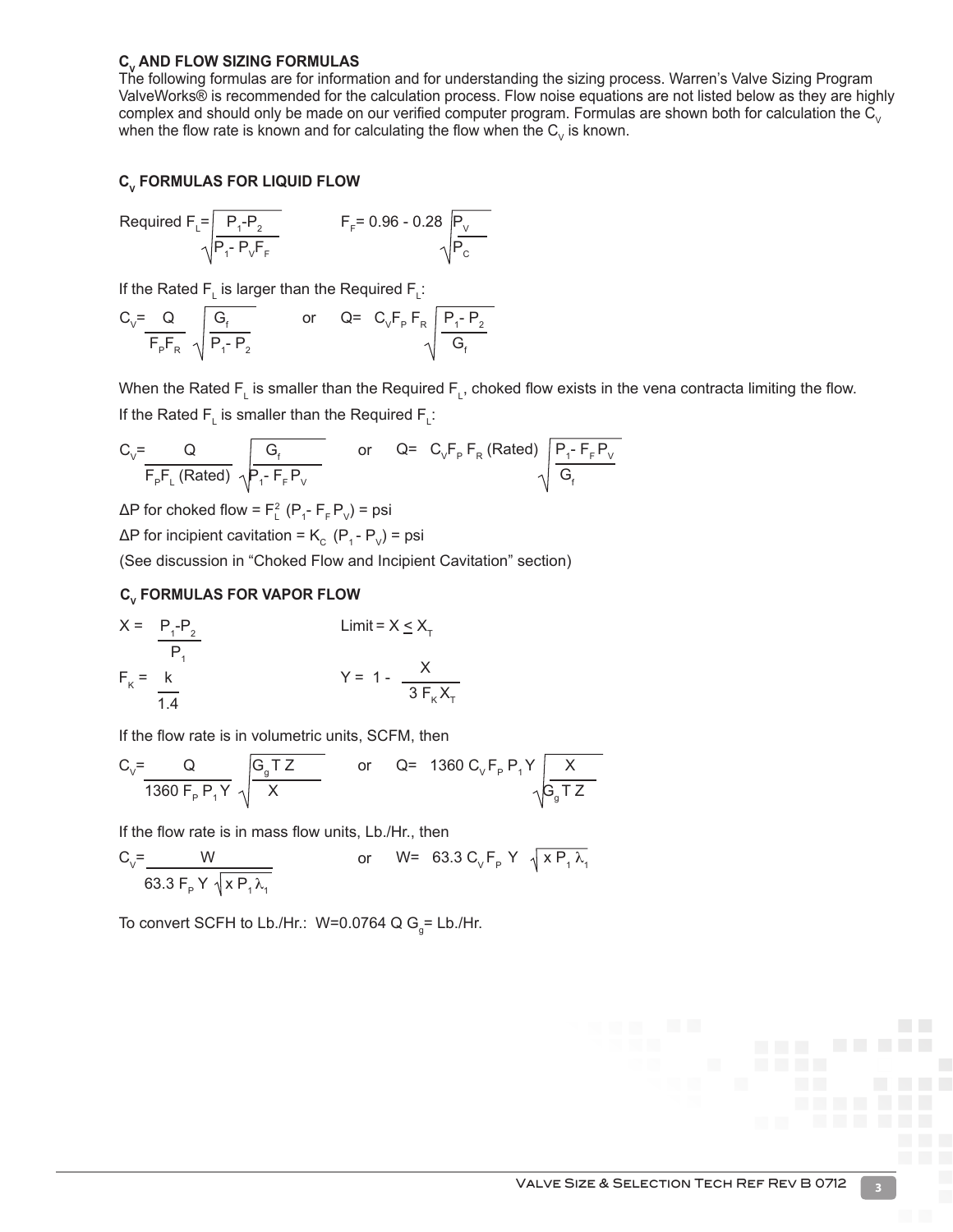#### **C<sub>v</sub>** AND FLOW SIZING FORMULAS

The following formulas are for information and for understanding the sizing process. Warren's Valve Sizing Program ValveWorks® is recommended for the calculation process. Flow noise equations are not listed below as they are highly complex and should only be made on our verified computer program. Formulas are shown both for calculation the  $\tilde{C}_V$ when the flow rate is known and for calculating the flow when the  $C_v$  is known.

#### **C<sub>V</sub>** FORMULAS FOR LIQUID FLOW

Required F<sub>L</sub> = 
$$
\frac{P_1 - P_2}{\sqrt{P_1 - P_V F_F}}
$$
 F<sub>F</sub> = 0.96 - 0.28  $\sqrt{\frac{P_V}{P_C}}$ 

If the Rated F<sub>L</sub> is larger than the Required F<sub>L</sub>:

$$
C_{\vee} = \frac{Q}{F_{p}F_{R}} \sqrt{\frac{G_{f}}{P_{1}-P_{2}}}
$$
 or 
$$
Q = C_{\vee}F_{p}F_{R} \sqrt{\frac{P_{1}-P_{2}}{G_{f}}}
$$

When the Rated F<sub>L</sub> is smaller than the Required F<sub>L</sub>, choked flow exists in the vena contracta limiting the flow. If the Rated  $\mathsf{F}_{\mathsf{L}}$  is smaller than the Required  $\mathsf{F}_{\mathsf{L}}$ :

$$
C_{_{\vee}}=\dfrac{Q}{F_{_{P}}F_{_{L}}\left(Rated\right)}\begin{array}{l}G_{_{f}}\\ \sqrt{P_{_{1}^{-}}\cdot F_{_{F}}P_{_{V}}}\end{array}\qquad or\qquad Q= \begin{array}{l}C_{_{\vee}}F_{_{P}}\cdot F_{_{R}}\left(Rated\right)\\ \sqrt{\dfrac{P_{_{1}^{-}}\cdot F_{_{F}}P_{_{V}}}{G_{_{f}}}}\end{array}
$$

ΔP for choked flow =  $F_L^2$  (P<sub>1</sub>-  $F_F P_V$ ) = psi

 $\Delta P$  for incipient cavitation = K<sub>c</sub> (P<sub>1</sub> - P<sub>V</sub>) = psi

(See discussion in "Choked Flow and Incipient Cavitation" section)

## **CV FORMULAS FOR VAPOR FLOW**

$$
X = \frac{P_1 - P_2}{P_1}
$$
  
\n
$$
F_k = \frac{k}{1.4}
$$
  
\n
$$
Y = 1 - \frac{X}{3F_kX_T}
$$

If the flow rate is in volumetric units, SCFM, then

$$
C_{V} = \frac{Q}{1360 F_{P} P_{1} Y} \sqrt{\frac{G_{g} T Z}{X}}
$$
 or  $Q = 1360 C_{V} F_{P} P_{1} Y \sqrt{\frac{X}{G_{g} T Z}}$ 

If the flow rate is in mass flow units, Lb./Hr., then

$$
C_{v} = \frac{W}{63.3 F_{P} Y \sqrt{X P_{1} \lambda_{1}}}
$$
 or  $W = 63.3 C_{v} F_{P} Y \sqrt{X P_{1} \lambda_{1}}$ 

To convert SCFH to Lb./Hr.: W=0.0764 Q G<sub>g</sub>= Lb./Hr.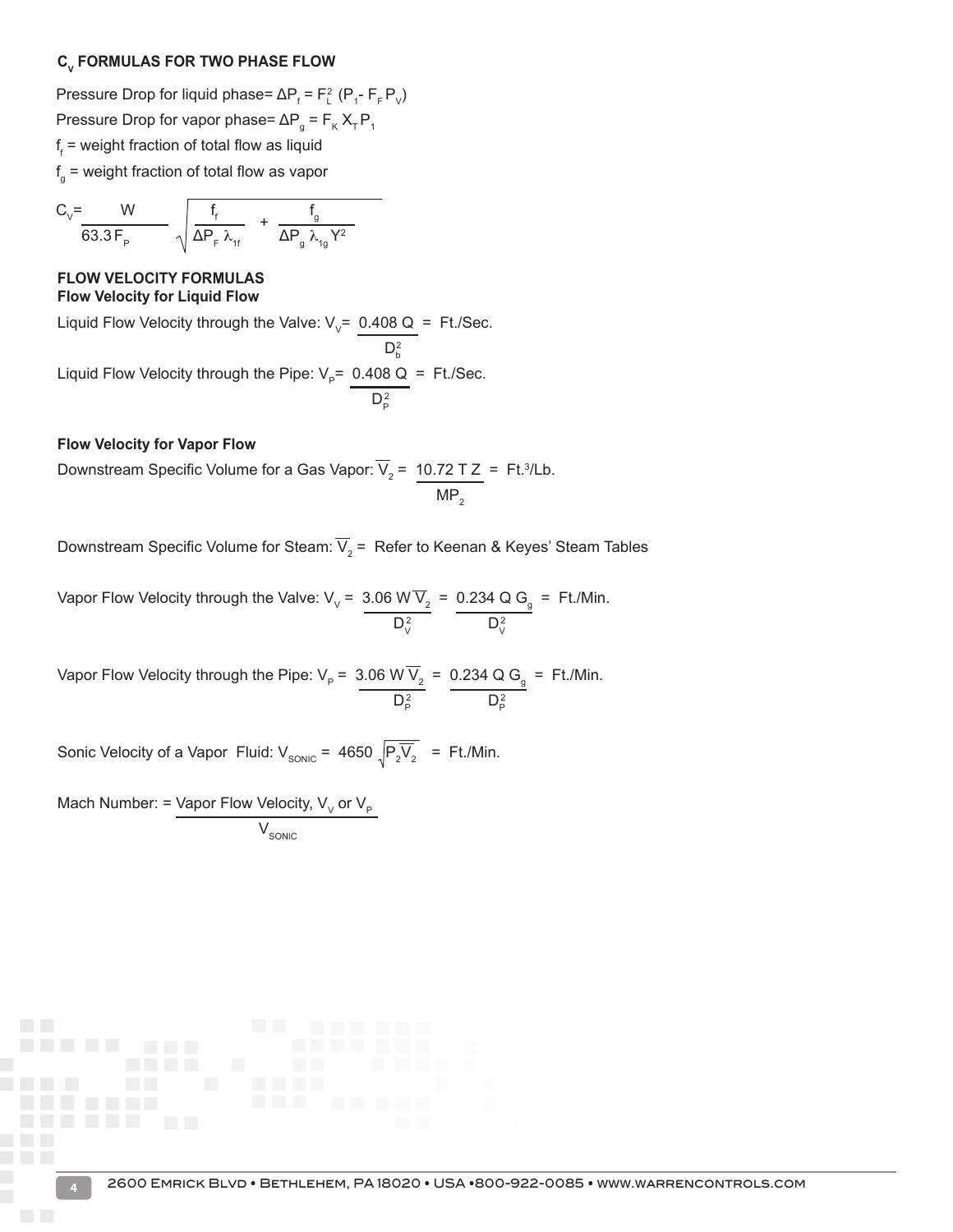#### **CV FORMULAS FOR TWO PHASE FLOW**

Pressure Drop for liquid phase=  $\Delta P_f = F_L^2 (P_I - F_F P_V)$ Pressure Drop for vapor phase= Δ $P_g$  =  $F_K X_T P_1$ f f = weight fraction of total flow as liquid f g = weight fraction of total flow as vapor

$$
C_{_{V}}\!\!=\!\!\!\frac{W}{63.3\,F_{_{P}}}\!\!\!\!\!\!\!\!\!\!\!\!\!\sqrt{\frac{f_{_{f}}}{\Delta P_{_{F}}\,\lambda_{_{1f}}}}\!\!\!\!\!\!\!\!\!\!+\frac{f_{_{g}}}{\Delta P_{_{g}}\,\lambda_{_{1g}}Y^{2}}
$$

#### **FLOW VELOCITY FORMULAS Flow Velocity for Liquid Flow**

Liquid Flow Velocity through the Valve:  $V_v$ = 0.408 Q = Ft./Sec.

 $D_b^2$ Liquid Flow Velocity through the Pipe:  $V_p$ = 0.408 Q = Ft./Sec.  $D^2_{\rm P}$ 

#### **Flow Velocity for Vapor Flow**

Downstream Specific Volume for a Gas Vapor:  $V_2$  =  $10.72$  T Z = Ft.<sup>3</sup>/Lb.  $MP<sub>2</sub>$ 

Downstream Specific Volume for Steam: V $_2$  =  $\,$  Refer to Keenan & Keyes' Steam Tables

Vapor Flow Velocity through the Valve: V<sub>v</sub> = 3.06 W V<sub>2</sub> = 0.234 Q G<sub>g</sub> = Ft./Min.  $D_V^2$  and  $D_V^2$ 

Vapor Flow Velocity through the Pipe:  $V_p$  = 3.06 W V<sub>2</sub> = 0.234 Q G<sub>g</sub> = Ft./Min.  $D_P^2$   $D_P^2$ 

Sonic Velocity of a Vapor Fluid: V $_{\text{SONIC}}$  = 4650  $_{\sqrt{\text{P}_2} \text{V}_2}$  = Ft./Min.

Mach Number: = Vapor Flow Velocity, V<sub>v</sub> or V<sub>P</sub>

 ${\rm V}_{\rm sonic}$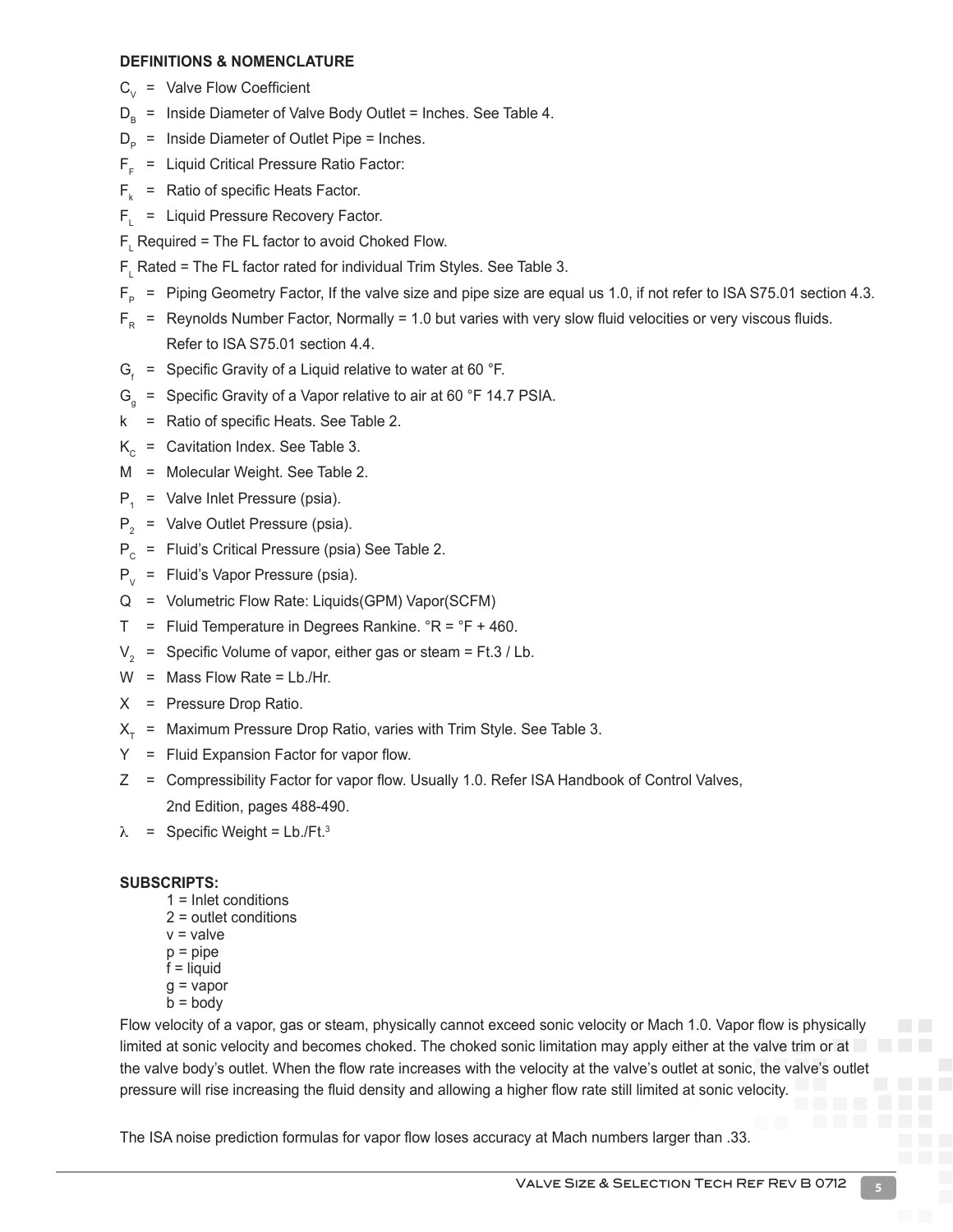#### **DEFINITIONS & NOMENCLATURE**

- $C_{v}$  = Valve Flow Coefficient
- $D_{\rm B}$  = Inside Diameter of Valve Body Outlet = Inches. See Table 4.
- $D_{p}$  = Inside Diameter of Outlet Pipe = Inches.
- $F_F$  = Liquid Critical Pressure Ratio Factor:
- $F_k$  = Ratio of specific Heats Factor.
- $F<sub>l</sub>$  = Liquid Pressure Recovery Factor.
- $\mathsf{F}_{\mathsf{L}}$  Required = The FL factor to avoid Choked Flow.
- $F_{L}$  Rated = The FL factor rated for individual Trim Styles. See Table 3.
- $F_{\rm p}$  = Piping Geometry Factor, If the valve size and pipe size are equal us 1.0, if not refer to ISA S75.01 section 4.3.
- $F<sub>p</sub>$  = Reynolds Number Factor, Normally = 1.0 but varies with very slow fluid velocities or very viscous fluids. Refer to ISA S75.01 section 4.4.
- $G<sub>i</sub>$  = Specific Gravity of a Liquid relative to water at 60 °F.
- $G<sub>a</sub>$  = Specific Gravity of a Vapor relative to air at 60 °F 14.7 PSIA.
- k = Ratio of specific Heats. See Table 2.
- $K<sub>c</sub>$  = Cavitation Index. See Table 3.
- M = Molecular Weight. See Table 2.
- $P_1$  = Valve Inlet Pressure (psia).
- $P_2$  = Valve Outlet Pressure (psia).
- $P_c$  = Fluid's Critical Pressure (psia) See Table 2.
- $P_{V}$  = Fluid's Vapor Pressure (psia).
- Q = Volumetric Flow Rate: Liquids(GPM) Vapor(SCFM)
- $T =$  Fluid Temperature in Degrees Rankine.  ${}^{\circ}R = {}^{\circ}F + 460$ .
- $V_a$  = Specific Volume of vapor, either gas or steam = Ft.3 / Lb.
- $W =$  Mass Flow Rate = Lb./Hr.
- X = Pressure Drop Ratio.
- $X<sub>T</sub>$  = Maximum Pressure Drop Ratio, varies with Trim Style. See Table 3.
- Y = Fluid Expansion Factor for vapor flow.
- Z = Compressibility Factor for vapor flow. Usually 1.0. Refer ISA Handbook of Control Valves, 2nd Edition, pages 488-490.
- $\lambda$  = Specific Weight = Lb./Ft.<sup>3</sup>

#### **SUBSCRIPTS:**

- 1 = Inlet conditions
- 2 = outlet conditions
- $v =$  valve
- $p = pipe$  $f =$  liquid
- $q = vapor$
- $b = body$

Flow velocity of a vapor, gas or steam, physically cannot exceed sonic velocity or Mach 1.0. Vapor flow is physically limited at sonic velocity and becomes choked. The choked sonic limitation may apply either at the valve trim or at the valve body's outlet. When the flow rate increases with the velocity at the valve's outlet at sonic, the valve's outlet pressure will rise increasing the fluid density and allowing a higher flow rate still limited at sonic velocity.

The ISA noise prediction formulas for vapor flow loses accuracy at Mach numbers larger than .33.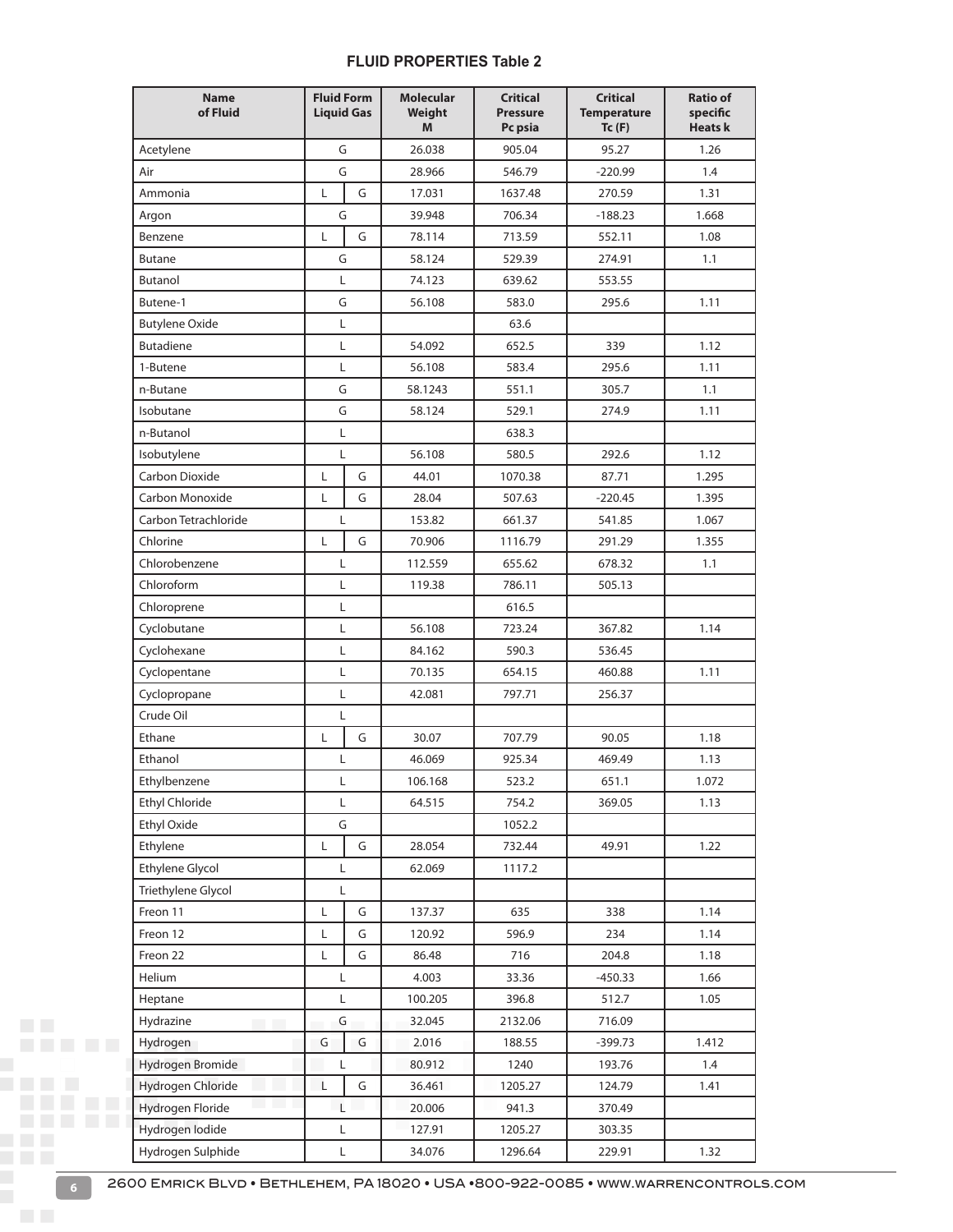#### **FLUID PROPERTIES Table 2**

|                 | <b>Name</b><br>of Fluid | <b>Fluid Form</b><br><b>Liquid Gas</b> |   | <b>Molecular</b><br>Weight<br>M | <b>Critical</b><br><b>Pressure</b><br>Pc psia | <b>Critical</b><br><b>Temperature</b><br>Tc(F) | <b>Ratio of</b><br>specific<br><b>Heats k</b> |
|-----------------|-------------------------|----------------------------------------|---|---------------------------------|-----------------------------------------------|------------------------------------------------|-----------------------------------------------|
|                 | Acetylene               | G                                      |   | 26.038                          | 905.04                                        | 95.27                                          | 1.26                                          |
|                 | Air                     | G                                      |   | 28.966                          | 546.79                                        | $-220.99$                                      | 1.4                                           |
|                 | Ammonia                 | L                                      | G | 17.031                          | 1637.48                                       | 270.59                                         | 1.31                                          |
|                 | Argon                   | G                                      |   | 39.948                          | 706.34                                        | $-188.23$                                      | 1.668                                         |
|                 | Benzene                 | L                                      | G | 78.114                          | 713.59                                        | 552.11                                         | 1.08                                          |
|                 | <b>Butane</b>           | G                                      |   | 58.124                          | 529.39                                        | 274.91                                         | 1.1                                           |
|                 | Butanol                 | Г                                      |   | 74.123                          | 639.62                                        | 553.55                                         |                                               |
|                 | Butene-1                | G                                      |   | 56.108                          | 583.0                                         | 295.6                                          | 1.11                                          |
|                 | <b>Butylene Oxide</b>   | Г                                      |   |                                 | 63.6                                          |                                                |                                               |
|                 | <b>Butadiene</b>        | L                                      |   | 54.092                          | 652.5                                         | 339                                            | 1.12                                          |
|                 | 1-Butene                | Г                                      |   | 56.108                          | 583.4                                         | 295.6                                          | 1.11                                          |
|                 | n-Butane                | G                                      |   | 58.1243                         | 551.1                                         | 305.7                                          | 1.1                                           |
|                 | Isobutane               | G                                      |   | 58.124                          | 529.1                                         | 274.9                                          | 1.11                                          |
|                 | n-Butanol               | L                                      |   |                                 | 638.3                                         |                                                |                                               |
|                 | Isobutylene             | Г                                      |   | 56.108                          | 580.5                                         | 292.6                                          | 1.12                                          |
|                 | Carbon Dioxide          | L                                      | G | 44.01                           | 1070.38                                       | 87.71                                          | 1.295                                         |
|                 | Carbon Monoxide         | Г                                      | G | 28.04                           | 507.63                                        | $-220.45$                                      | 1.395                                         |
|                 | Carbon Tetrachloride    | L                                      |   | 153.82                          | 661.37                                        | 541.85                                         | 1.067                                         |
|                 | Chlorine                | Г                                      | G | 70.906                          | 1116.79                                       | 291.29                                         | 1.355                                         |
|                 | Chlorobenzene           | L                                      |   | 112.559                         | 655.62                                        | 678.32                                         | 1.1                                           |
|                 | Chloroform              | L                                      |   | 119.38                          | 786.11                                        | 505.13                                         |                                               |
|                 | Chloroprene             | L                                      |   |                                 | 616.5                                         |                                                |                                               |
|                 | Cyclobutane             | Г                                      |   | 56.108                          | 723.24                                        | 367.82                                         | 1.14                                          |
|                 | Cyclohexane             | Г                                      |   | 84.162                          | 590.3                                         | 536.45                                         |                                               |
|                 | Cyclopentane            | Г                                      |   | 70.135                          | 654.15                                        | 460.88                                         | 1.11                                          |
|                 | Cyclopropane            | Г                                      |   | 42.081                          | 797.71                                        | 256.37                                         |                                               |
|                 | Crude Oil               | Г                                      |   |                                 |                                               |                                                |                                               |
|                 | Ethane                  | L                                      | G | 30.07                           | 707.79                                        | 90.05                                          | 1.18                                          |
|                 | Ethanol                 | Г                                      |   | 46.069                          | 925.34                                        | 469.49                                         | 1.13                                          |
|                 | Ethylbenzene            | L                                      |   | 106.168                         | 523.2                                         | 651.1                                          | 1.072                                         |
|                 | Ethyl Chloride          | L                                      |   | 64.515                          | 754.2                                         | 369.05                                         | 1.13                                          |
|                 | Ethyl Oxide             | G                                      |   |                                 | 1052.2                                        |                                                |                                               |
|                 | Ethylene                | L                                      | G | 28.054                          | 732.44                                        | 49.91                                          | 1.22                                          |
|                 | Ethylene Glycol         | L                                      |   | 62.069                          | 1117.2                                        |                                                |                                               |
|                 | Triethylene Glycol      | Г                                      |   |                                 |                                               |                                                |                                               |
|                 | Freon 11                | L                                      | G | 137.37                          | 635                                           | 338                                            | 1.14                                          |
|                 | Freon 12                | Г                                      | G | 120.92                          | 596.9                                         | 234                                            | 1.14                                          |
|                 | Freon 22                | Г                                      | G | 86.48                           | 716                                           | 204.8                                          | 1.18                                          |
|                 | Helium                  | L                                      |   | 4.003                           | 33.36                                         | $-450.33$                                      | 1.66                                          |
|                 | Heptane                 | Г                                      |   | 100.205                         | 396.8                                         | 512.7                                          | 1.05                                          |
| <b>Contract</b> | Hydrazine               | G                                      |   | 32.045                          | 2132.06                                       | 716.09                                         |                                               |
|                 | Hydrogen                | G                                      | G | 2.016                           | 188.55                                        | $-399.73$                                      | 1.412                                         |
|                 | Hydrogen Bromide        | Г                                      |   | 80.912                          | 1240                                          | 193.76                                         | 1.4                                           |
|                 | Hydrogen Chloride       | L                                      | G | 36.461                          | 1205.27                                       | 124.79                                         | 1.41                                          |
|                 | Hydrogen Floride        | L                                      |   | 20.006                          | 941.3                                         | 370.49                                         |                                               |
|                 | Hydrogen lodide         | Г                                      |   | 127.91                          | 1205.27                                       | 303.35                                         |                                               |
|                 | Hydrogen Sulphide       | L                                      |   | 34.076                          | 1296.64                                       | 229.91                                         | 1.32                                          |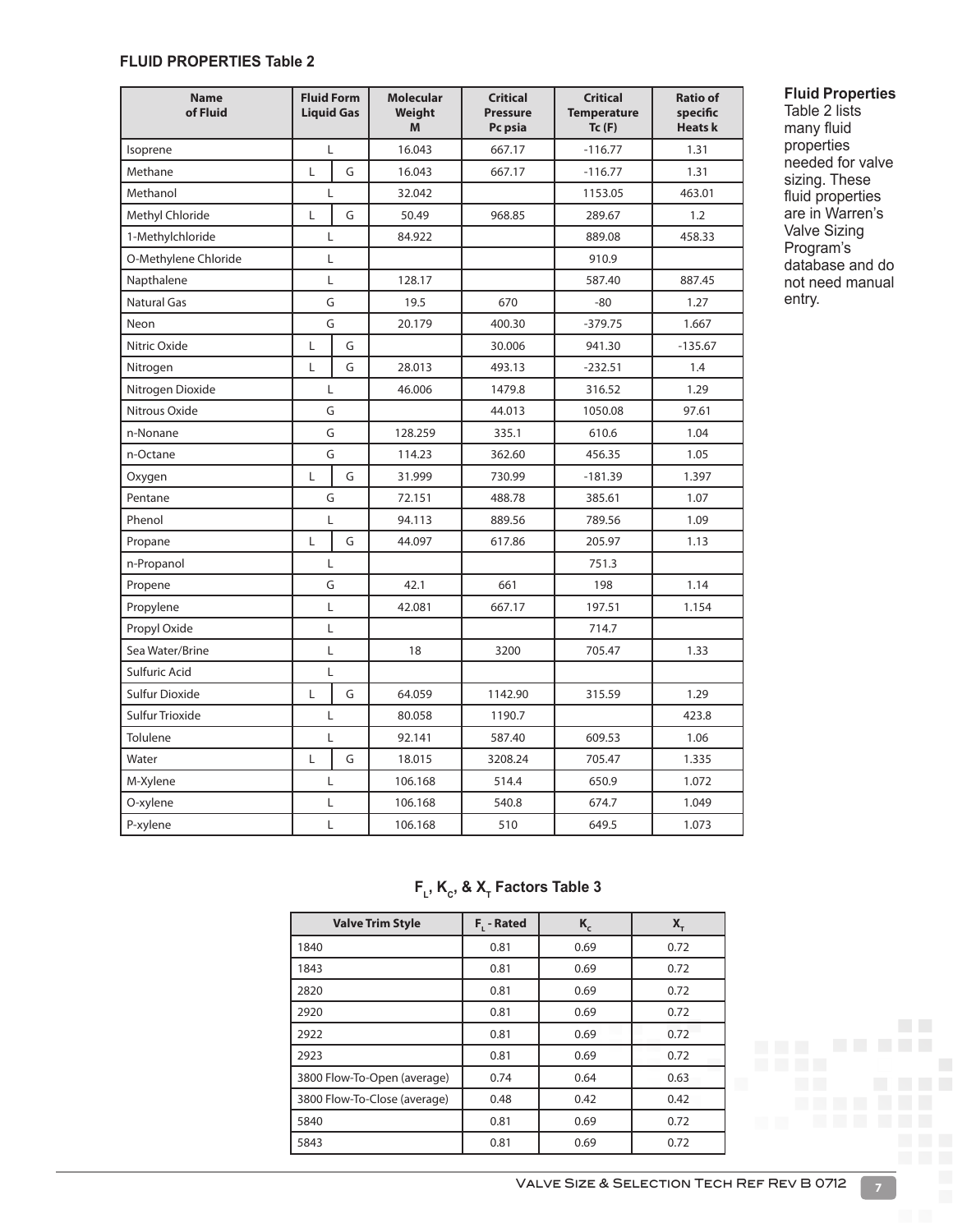#### **FLUID PROPERTIES Table 2**

| <b>Name</b><br>of Fluid | <b>Fluid Form</b><br><b>Liquid Gas</b> |   | <b>Molecular</b><br>Weight<br>M | <b>Critical</b><br><b>Pressure</b><br>Pc psia | <b>Critical</b><br><b>Temperature</b><br>Tc(F) | <b>Ratio of</b><br>specific<br><b>Heatsk</b> |
|-------------------------|----------------------------------------|---|---------------------------------|-----------------------------------------------|------------------------------------------------|----------------------------------------------|
| Isoprene                | L                                      |   | 16.043                          | 667.17                                        | $-116.77$                                      | 1.31                                         |
| Methane                 | L                                      | G | 16.043                          | 667.17                                        | $-116.77$                                      | 1.31                                         |
| Methanol                | L                                      |   | 32.042                          |                                               | 1153.05                                        | 463.01                                       |
| Methyl Chloride         | Г                                      | G | 50.49                           | 968.85                                        | 289.67                                         | 1.2                                          |
| 1-Methylchloride        | Г                                      |   | 84.922                          |                                               | 889.08                                         | 458.33                                       |
| O-Methylene Chloride    | L                                      |   |                                 |                                               | 910.9                                          |                                              |
| Napthalene              | Г                                      |   | 128.17                          |                                               | 587.40                                         | 887.45                                       |
| <b>Natural Gas</b>      | G                                      |   | 19.5                            | 670                                           | -80                                            | 1.27                                         |
| Neon                    | G                                      |   | 20.179                          | 400.30                                        | $-379.75$                                      | 1.667                                        |
| Nitric Oxide            | Г                                      | G |                                 | 30.006                                        | 941.30                                         | $-135.67$                                    |
| Nitrogen                | L                                      | G | 28.013                          | 493.13                                        | $-232.51$                                      | 1.4                                          |
| Nitrogen Dioxide        | L                                      |   | 46.006                          | 1479.8                                        | 316.52                                         | 1.29                                         |
| Nitrous Oxide           | G                                      |   |                                 | 44.013                                        | 1050.08                                        | 97.61                                        |
| n-Nonane                |                                        | G | 128.259                         | 335.1                                         | 610.6                                          | 1.04                                         |
| n-Octane                |                                        | G | 114.23                          | 362.60                                        | 456.35                                         | 1.05                                         |
| Oxygen                  | L                                      | G | 31.999                          | 730.99                                        | $-181.39$                                      | 1.397                                        |
| Pentane                 | G                                      |   | 72.151                          | 488.78                                        | 385.61                                         | 1.07                                         |
| Phenol                  | L                                      |   | 94.113                          | 889.56                                        | 789.56                                         | 1.09                                         |
| Propane                 | Г                                      | G | 44.097                          | 617.86                                        | 205.97                                         | 1.13                                         |
| n-Propanol              | L                                      |   |                                 |                                               | 751.3                                          |                                              |
| Propene                 | G                                      |   | 42.1                            | 661                                           | 198                                            | 1.14                                         |
| Propylene               | L                                      |   | 42.081                          | 667.17                                        | 197.51                                         | 1.154                                        |
| Propyl Oxide            | L                                      |   |                                 |                                               | 714.7                                          |                                              |
| Sea Water/Brine         | L                                      |   | 18                              | 3200                                          | 705.47                                         | 1.33                                         |
| Sulfuric Acid           | L                                      |   |                                 |                                               |                                                |                                              |
| Sulfur Dioxide          | L                                      | G | 64.059                          | 1142.90                                       | 315.59                                         | 1.29                                         |
| Sulfur Trioxide         | L                                      |   | 80.058                          | 1190.7                                        |                                                | 423.8                                        |
| Tolulene                | L                                      |   | 92.141                          | 587.40                                        | 609.53                                         | 1.06                                         |
| Water                   | L                                      | G | 18.015                          | 3208.24                                       | 705.47                                         | 1.335                                        |
| M-Xylene                | Г                                      |   | 106.168                         | 514.4                                         | 650.9                                          | 1.072                                        |
| O-xylene                | L                                      |   | 106.168                         | 540.8                                         | 674.7                                          | 1.049                                        |
| P-xylene                |                                        | Г | 106.168                         | 510                                           | 649.5                                          | 1.073                                        |

#### **Fluid Properties**

Table 2 lists many fluid properties needed for valve sizing. These fluid properties are in Warren's Valve Sizing Program's database and do not need manual entry.

## $F_L$ , K<sub>c</sub>, & X<sub>T</sub> Factors Table 3

| <b>Valve Trim Style</b>      | $F_1 - Rated$ | $K_c$ | X,   |
|------------------------------|---------------|-------|------|
| 1840                         | 0.81          | 0.69  | 0.72 |
| 1843                         | 0.81          | 0.69  | 0.72 |
| 2820                         | 0.81          | 0.69  | 0.72 |
| 2920                         | 0.81          | 0.69  | 0.72 |
| 2922                         | 0.81          | 0.69  | 0.72 |
| 2923                         | 0.81          | 0.69  | 0.72 |
| 3800 Flow-To-Open (average)  | 0.74          | 0.64  | 0.63 |
| 3800 Flow-To-Close (average) | 0.48          | 0.42  | 0.42 |
| 5840                         | 0.81          | 0.69  | 0.72 |
| 5843                         | 0.81          | 0.69  | 0.72 |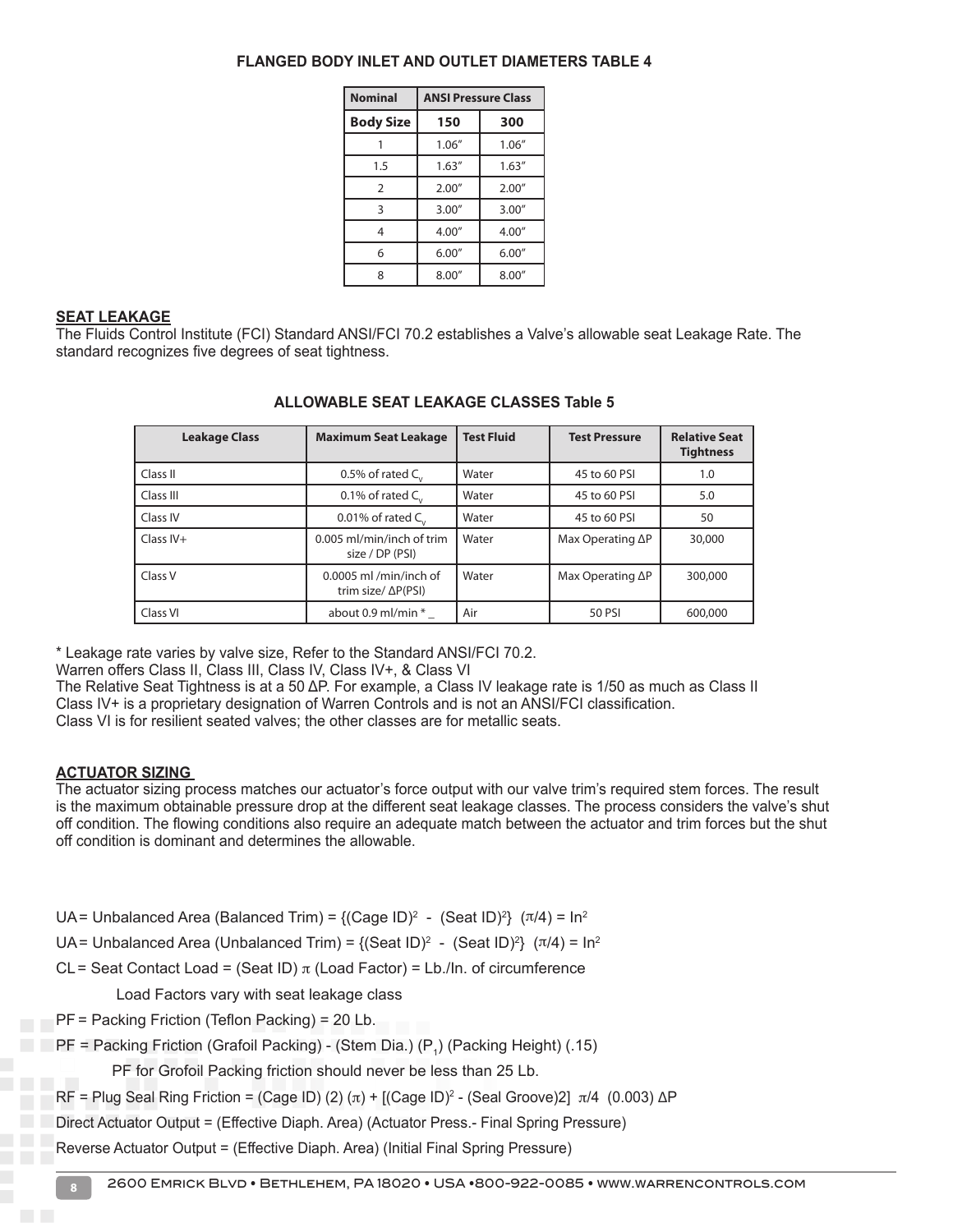| <b>Nominal</b>   | <b>ANSI Pressure Class</b> |        |  |
|------------------|----------------------------|--------|--|
| <b>Body Size</b> | 150                        | 300    |  |
|                  | 1.06''                     | 1.06'' |  |
| 1.5              | 1.63''                     | 1.63'' |  |
| $\overline{2}$   | 2.00''                     | 2.00'' |  |
| 3                | 3.00''                     | 3.00'' |  |
| 4                | 4.00''                     | 4.00'' |  |
| 6                | 6.00''                     | 6.00'' |  |
| 8                | 8.00''                     | 8.00'' |  |

#### **SEAT LEAKAGE**

The Fluids Control Institute (FCI) Standard ANSI/FCI 70.2 establishes a Valve's allowable seat Leakage Rate. The standard recognizes five degrees of seat tightness.

| <b>Leakage Class</b> | <b>Maximum Seat Leakage</b>                          | <b>Test Fluid</b> | <b>Test Pressure</b>     | <b>Relative Seat</b><br><b>Tightness</b> |
|----------------------|------------------------------------------------------|-------------------|--------------------------|------------------------------------------|
| Class II             | 0.5% of rated $C_{1}$                                | Water             | 45 to 60 PSI             | 1.0                                      |
| Class III            | 0.1% of rated $C_{1}$                                | Water             | 45 to 60 PSI             | 5.0                                      |
| Class IV             | 0.01% of rated $C_{1}$ ,                             | Water             | 45 to 60 PSI             | 50                                       |
| $Class IV+$          | 0.005 ml/min/inch of trim<br>size / DP (PSI)         | Water             | Max Operating $\Delta P$ | 30,000                                   |
| Class V              | 0.0005 ml /min/inch of<br>trim size/ $\Delta P(PSI)$ | Water             | Max Operating $\Delta P$ | 300,000                                  |
| Class VI             | about 0.9 ml/min *                                   | Air               | 50 PSI                   | 600,000                                  |

#### **ALLOWABLE SEAT LEAKAGE CLASSES Table 5**

\* Leakage rate varies by valve size, Refer to the Standard ANSI/FCI 70.2.

Warren offers Class II, Class III, Class IV, Class IV+, & Class VI

The Relative Seat Tightness is at a 50 ΔP. For example, a Class IV leakage rate is 1/50 as much as Class II Class IV+ is a proprietary designation of Warren Controls and is not an ANSI/FCI classification. Class VI is for resilient seated valves; the other classes are for metallic seats.

#### **ACTUATOR SIZING**

The actuator sizing process matches our actuator's force output with our valve trim's required stem forces. The result is the maximum obtainable pressure drop at the different seat leakage classes. The process considers the valve's shut off condition. The flowing conditions also require an adequate match between the actuator and trim forces but the shut off condition is dominant and determines the allowable.

UA= Unbalanced Area (Balanced Trim) = {(Cage ID)<sup>2</sup> - (Seat ID)<sup>2</sup>} ( $\pi/4$ ) = In<sup>2</sup>

UA= Unbalanced Area (Unbalanced Trim) = {(Seat ID)<sup>2</sup> - (Seat ID)<sup>2</sup>} ( $\pi/4$ ) = In<sup>2</sup>

CL= Seat Contact Load = (Seat ID)  $\pi$  (Load Factor) = Lb./In. of circumference

Load Factors vary with seat leakage class

PF = Packing Friction (Teflon Packing) = 20 Lb.

PF = Packing Friction (Grafoil Packing) - (Stem Dia.) (P<sub>1</sub>) (Packing Height) (.15)

PF for Grofoil Packing friction should never be less than 25 Lb.

RF = Plug Seal Ring Friction = (Cage ID) (2) (π) + [(Cage ID)<sup>2</sup> - (Seal Groove)2]  $\pi$ /4 (0.003) ΔP

Direct Actuator Output = (Effective Diaph. Area) (Actuator Press.- Final Spring Pressure)

Reverse Actuator Output = (Effective Diaph. Area) (Initial Final Spring Pressure)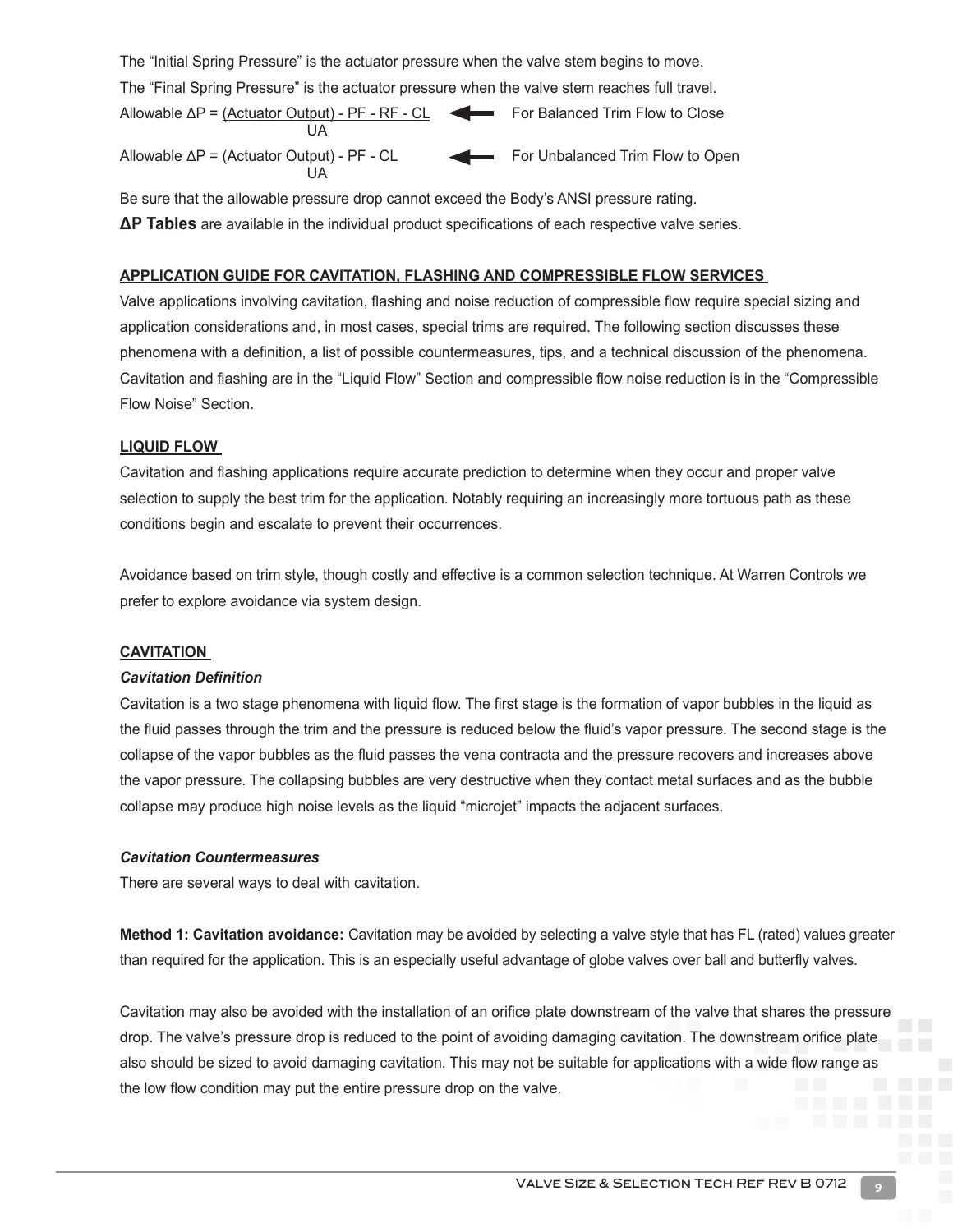The "Initial Spring Pressure" is the actuator pressure when the valve stem begins to move. The "Final Spring Pressure" is the actuator pressure when the valve stem reaches full travel. Allowable  $\Delta P = (Actuator Output) - PF - RF - CL$  For Balanced Trim Flow to Close under the control of the UA state of the UA Allowable  $\Delta P = (Actuator Output) - PF - CL$  For Unbalanced Trim Flow to Open **UA** 

Be sure that the allowable pressure drop cannot exceed the Body's ANSI pressure rating. **ΔP Tables** are available in the individual product specifications of each respective valve series.

#### **APPLICATION GUIDE FOR CAVITATION, FLASHING AND COMPRESSIBLE FLOW SERVICES**

Valve applications involving cavitation, flashing and noise reduction of compressible flow require special sizing and application considerations and, in most cases, special trims are required. The following section discusses these phenomena with a definition, a list of possible countermeasures, tips, and a technical discussion of the phenomena. Cavitation and flashing are in the "Liquid Flow" Section and compressible flow noise reduction is in the "Compressible Flow Noise" Section.

#### **LIQUID FLOW**

Cavitation and flashing applications require accurate prediction to determine when they occur and proper valve selection to supply the best trim for the application. Notably requiring an increasingly more tortuous path as these conditions begin and escalate to prevent their occurrences.

Avoidance based on trim style, though costly and effective is a common selection technique. At Warren Controls we prefer to explore avoidance via system design.

#### **CAVITATION**

#### *Cavitation Definition*

Cavitation is a two stage phenomena with liquid flow. The first stage is the formation of vapor bubbles in the liquid as the fluid passes through the trim and the pressure is reduced below the fluid's vapor pressure. The second stage is the collapse of the vapor bubbles as the fluid passes the vena contracta and the pressure recovers and increases above the vapor pressure. The collapsing bubbles are very destructive when they contact metal surfaces and as the bubble collapse may produce high noise levels as the liquid "microjet" impacts the adjacent surfaces.

#### *Cavitation Countermeasures*

There are several ways to deal with cavitation.

**Method 1: Cavitation avoidance:** Cavitation may be avoided by selecting a valve style that has FL (rated) values greater than required for the application. This is an especially useful advantage of globe valves over ball and butterfly valves.

Cavitation may also be avoided with the installation of an orifice plate downstream of the valve that shares the pressure drop. The valve's pressure drop is reduced to the point of avoiding damaging cavitation. The downstream orifice plate also should be sized to avoid damaging cavitation. This may not be suitable for applications with a wide flow range as the low flow condition may put the entire pressure drop on the valve.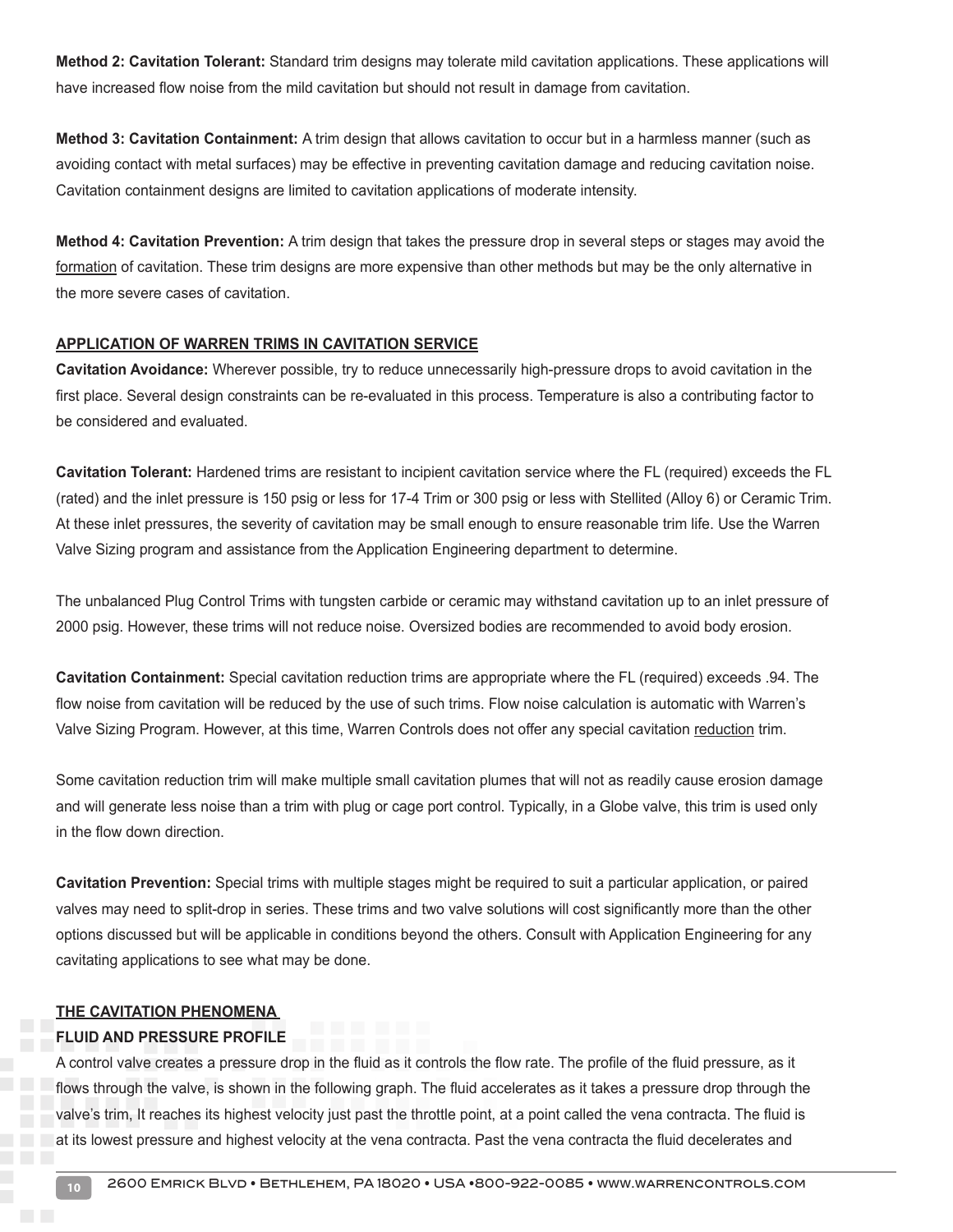**Method 2: Cavitation Tolerant:** Standard trim designs may tolerate mild cavitation applications. These applications will have increased flow noise from the mild cavitation but should not result in damage from cavitation.

**Method 3: Cavitation Containment:** A trim design that allows cavitation to occur but in a harmless manner (such as avoiding contact with metal surfaces) may be effective in preventing cavitation damage and reducing cavitation noise. Cavitation containment designs are limited to cavitation applications of moderate intensity.

**Method 4: Cavitation Prevention:** A trim design that takes the pressure drop in several steps or stages may avoid the formation of cavitation. These trim designs are more expensive than other methods but may be the only alternative in the more severe cases of cavitation.

#### **APPLICATION OF WARREN TRIMS IN CAVITATION SERVICE**

**Cavitation Avoidance:** Wherever possible, try to reduce unnecessarily high-pressure drops to avoid cavitation in the first place. Several design constraints can be re-evaluated in this process. Temperature is also a contributing factor to be considered and evaluated.

**Cavitation Tolerant:** Hardened trims are resistant to incipient cavitation service where the FL (required) exceeds the FL (rated) and the inlet pressure is 150 psig or less for 17-4 Trim or 300 psig or less with Stellited (Alloy 6) or Ceramic Trim. At these inlet pressures, the severity of cavitation may be small enough to ensure reasonable trim life. Use the Warren Valve Sizing program and assistance from the Application Engineering department to determine.

The unbalanced Plug Control Trims with tungsten carbide or ceramic may withstand cavitation up to an inlet pressure of 2000 psig. However, these trims will not reduce noise. Oversized bodies are recommended to avoid body erosion.

**Cavitation Containment:** Special cavitation reduction trims are appropriate where the FL (required) exceeds .94. The flow noise from cavitation will be reduced by the use of such trims. Flow noise calculation is automatic with Warren's Valve Sizing Program. However, at this time, Warren Controls does not offer any special cavitation reduction trim.

Some cavitation reduction trim will make multiple small cavitation plumes that will not as readily cause erosion damage and will generate less noise than a trim with plug or cage port control. Typically, in a Globe valve, this trim is used only in the flow down direction.

**Cavitation Prevention:** Special trims with multiple stages might be required to suit a particular application, or paired valves may need to split-drop in series. These trims and two valve solutions will cost significantly more than the other options discussed but will be applicable in conditions beyond the others. Consult with Application Engineering for any cavitating applications to see what may be done.

#### **THE CAVITATION PHENOMENA**

#### **FLUID AND PRESSURE PROFILE**

A control valve creates a pressure drop in the fluid as it controls the flow rate. The profile of the fluid pressure, as it flows through the valve, is shown in the following graph. The fluid accelerates as it takes a pressure drop through the valve's trim, It reaches its highest velocity just past the throttle point, at a point called the vena contracta. The fluid is at its lowest pressure and highest velocity at the vena contracta. Past the vena contracta the fluid decelerates and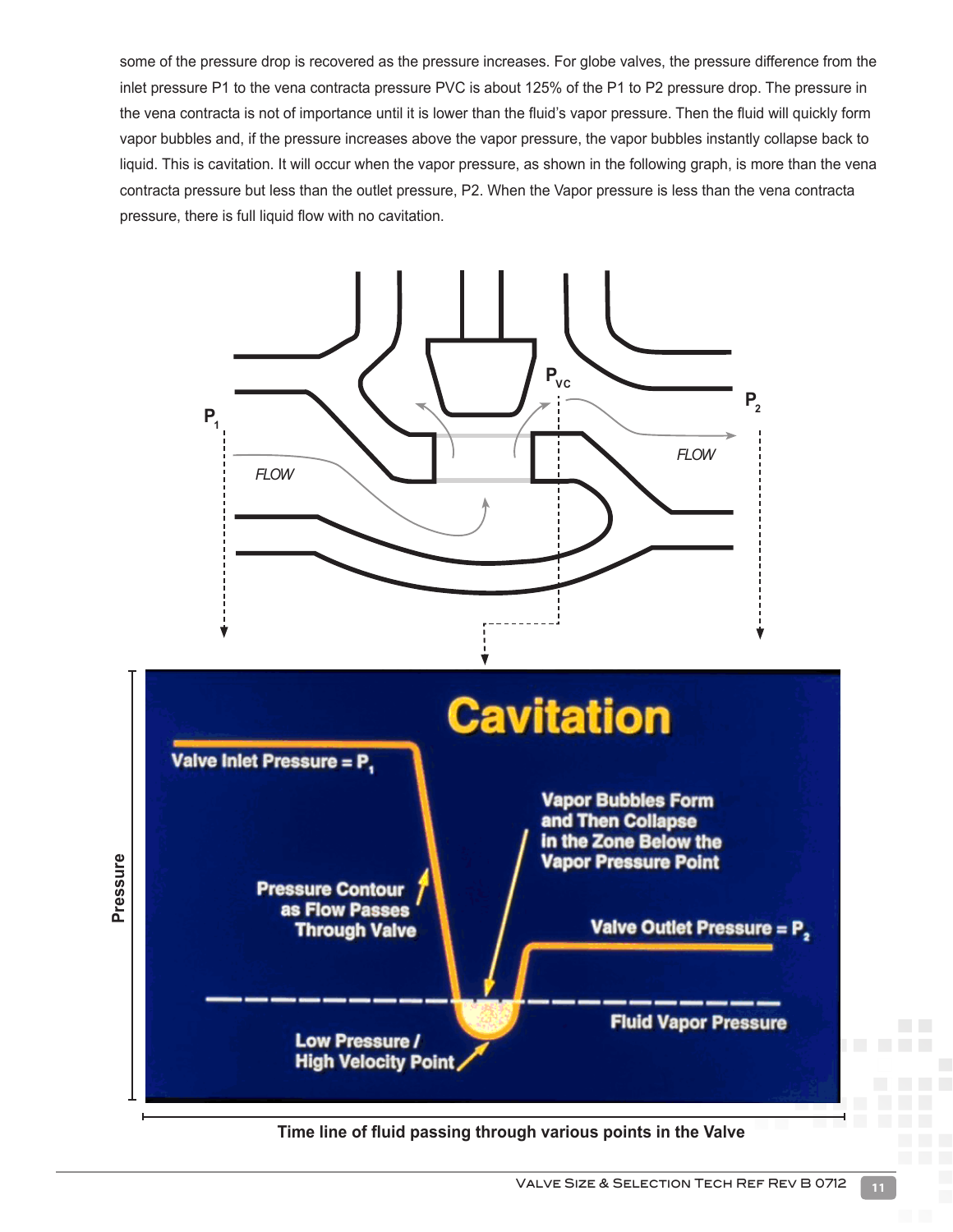some of the pressure drop is recovered as the pressure increases. For globe valves, the pressure difference from the inlet pressure P1 to the vena contracta pressure PVC is about 125% of the P1 to P2 pressure drop. The pressure in the vena contracta is not of importance until it is lower than the fluid's vapor pressure. Then the fluid will quickly form vapor bubbles and, if the pressure increases above the vapor pressure, the vapor bubbles instantly collapse back to liquid. This is cavitation. It will occur when the vapor pressure, as shown in the following graph, is more than the vena contracta pressure but less than the outlet pressure, P2. When the Vapor pressure is less than the vena contracta pressure, there is full liquid flow with no cavitation.



**Time line of fluid passing through various points in the Valve**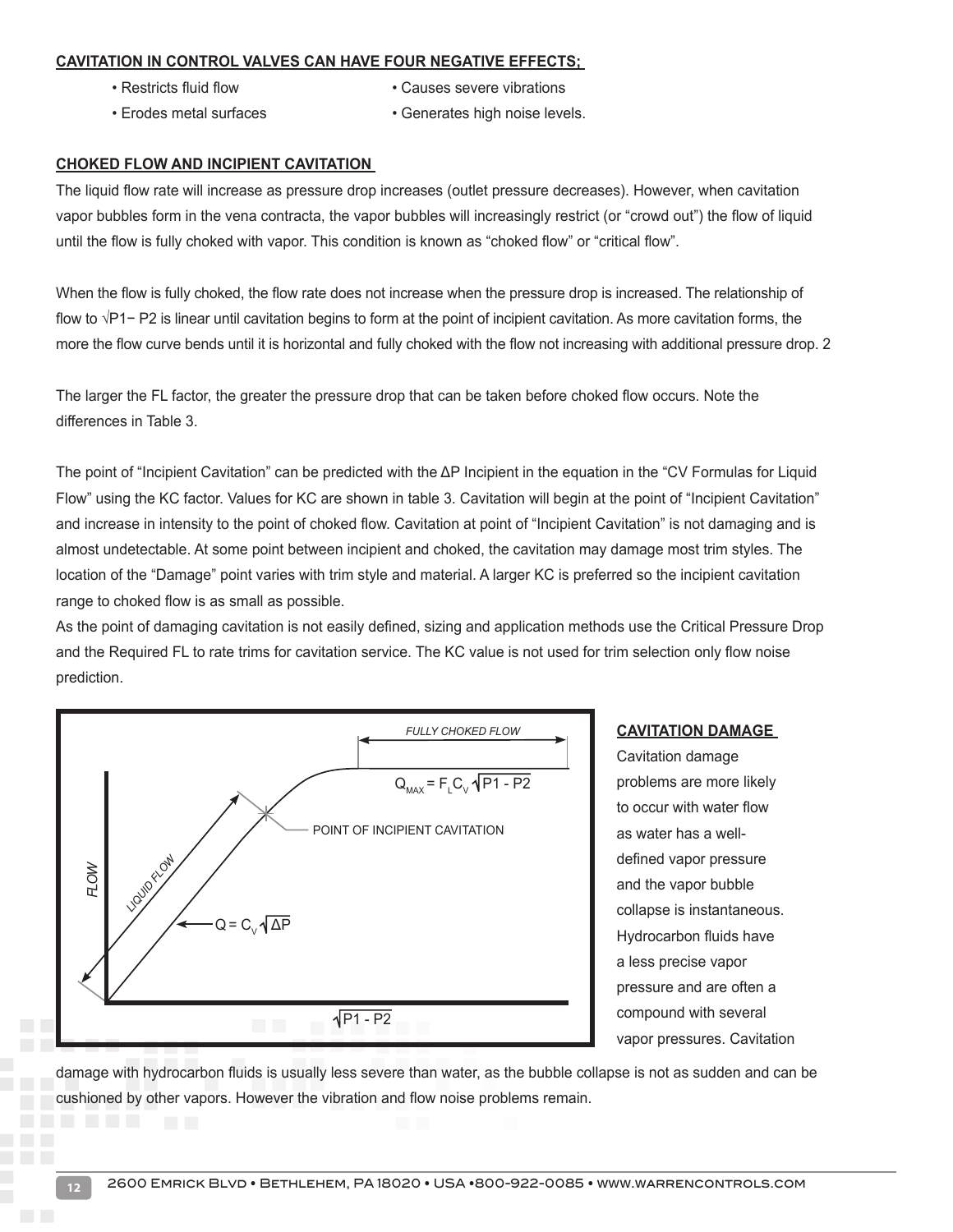#### **CAVITATION IN CONTROL VALVES CAN HAVE FOUR NEGATIVE EFFECTS;**

- 
- Restricts fluid flow  **Causes severe vibrations**
- Erodes metal surfaces Generates high noise levels.

#### **CHOKED FLOW AND INCIPIENT CAVITATION**

The liquid flow rate will increase as pressure drop increases (outlet pressure decreases). However, when cavitation vapor bubbles form in the vena contracta, the vapor bubbles will increasingly restrict (or "crowd out") the flow of liquid until the flow is fully choked with vapor. This condition is known as "choked flow" or "critical flow".

When the flow is fully choked, the flow rate does not increase when the pressure drop is increased. The relationship of flow to √P1− P2 is linear until cavitation begins to form at the point of incipient cavitation. As more cavitation forms, the more the flow curve bends until it is horizontal and fully choked with the flow not increasing with additional pressure drop. 2

The larger the FL factor, the greater the pressure drop that can be taken before choked flow occurs. Note the differences in Table 3.

The point of "Incipient Cavitation" can be predicted with the ΔP Incipient in the equation in the "CV Formulas for Liquid Flow" using the KC factor. Values for KC are shown in table 3. Cavitation will begin at the point of "Incipient Cavitation" and increase in intensity to the point of choked flow. Cavitation at point of "Incipient Cavitation" is not damaging and is almost undetectable. At some point between incipient and choked, the cavitation may damage most trim styles. The location of the "Damage" point varies with trim style and material. A larger KC is preferred so the incipient cavitation range to choked flow is as small as possible.

As the point of damaging cavitation is not easily defined, sizing and application methods use the Critical Pressure Drop and the Required FL to rate trims for cavitation service. The KC value is not used for trim selection only flow noise prediction.



#### **CAVITATION DAMAGE**

Cavitation damage problems are more likely to occur with water flow as water has a welldefined vapor pressure and the vapor bubble collapse is instantaneous. Hydrocarbon fluids have a less precise vapor pressure and are often a compound with several vapor pressures. Cavitation

damage with hydrocarbon fluids is usually less severe than water, as the bubble collapse is not as sudden and can be cushioned by other vapors. However the vibration and flow noise problems remain.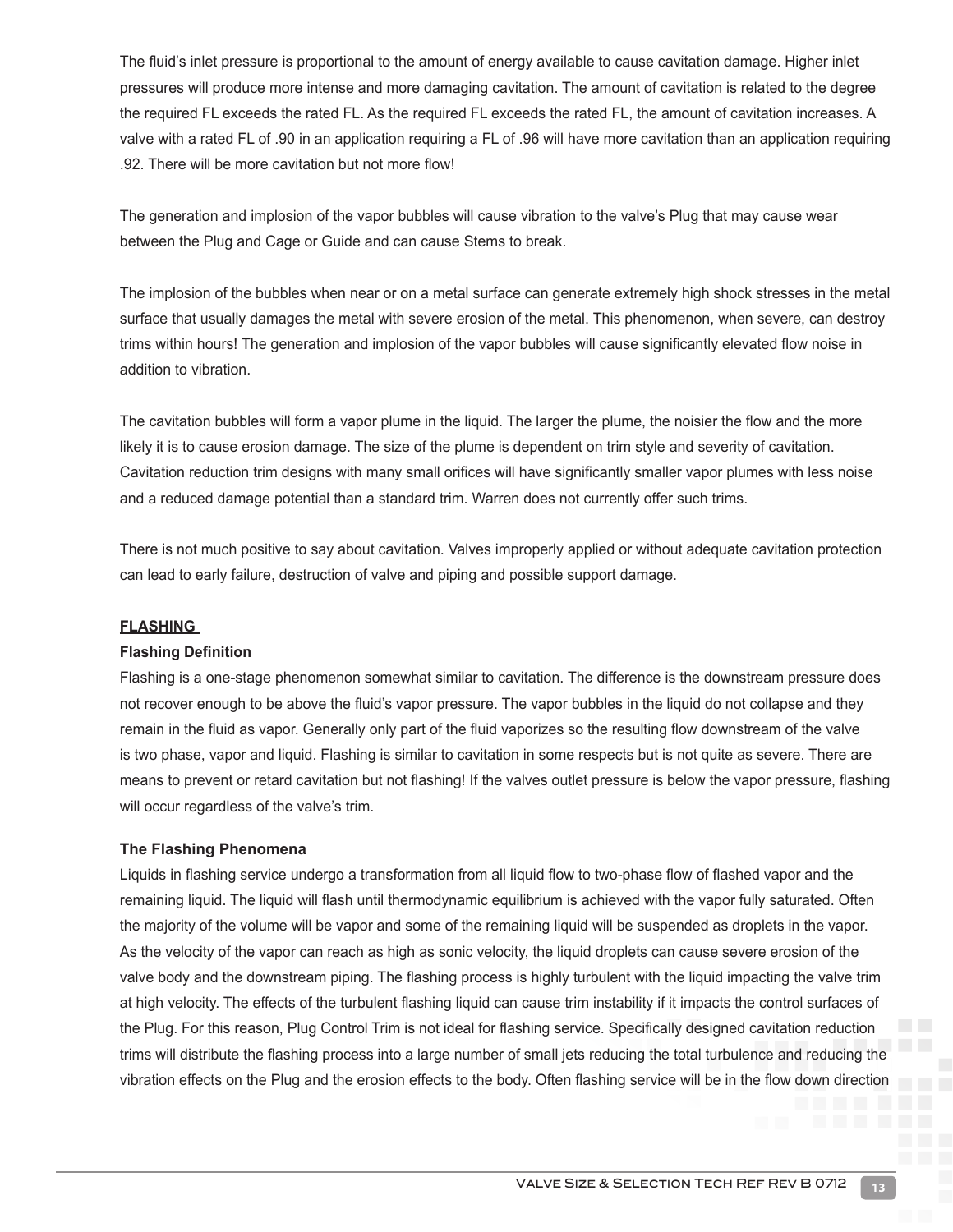The fluid's inlet pressure is proportional to the amount of energy available to cause cavitation damage. Higher inlet pressures will produce more intense and more damaging cavitation. The amount of cavitation is related to the degree the required FL exceeds the rated FL. As the required FL exceeds the rated FL, the amount of cavitation increases. A valve with a rated FL of .90 in an application requiring a FL of .96 will have more cavitation than an application requiring .92. There will be more cavitation but not more flow!

The generation and implosion of the vapor bubbles will cause vibration to the valve's Plug that may cause wear between the Plug and Cage or Guide and can cause Stems to break.

The implosion of the bubbles when near or on a metal surface can generate extremely high shock stresses in the metal surface that usually damages the metal with severe erosion of the metal. This phenomenon, when severe, can destroy trims within hours! The generation and implosion of the vapor bubbles will cause significantly elevated flow noise in addition to vibration.

The cavitation bubbles will form a vapor plume in the liquid. The larger the plume, the noisier the flow and the more likely it is to cause erosion damage. The size of the plume is dependent on trim style and severity of cavitation. Cavitation reduction trim designs with many small orifices will have significantly smaller vapor plumes with less noise and a reduced damage potential than a standard trim. Warren does not currently offer such trims.

There is not much positive to say about cavitation. Valves improperly applied or without adequate cavitation protection can lead to early failure, destruction of valve and piping and possible support damage.

#### **FLASHING**

#### **Flashing Definition**

Flashing is a one-stage phenomenon somewhat similar to cavitation. The difference is the downstream pressure does not recover enough to be above the fluid's vapor pressure. The vapor bubbles in the liquid do not collapse and they remain in the fluid as vapor. Generally only part of the fluid vaporizes so the resulting flow downstream of the valve is two phase, vapor and liquid. Flashing is similar to cavitation in some respects but is not quite as severe. There are means to prevent or retard cavitation but not flashing! If the valves outlet pressure is below the vapor pressure, flashing will occur regardless of the valve's trim.

#### **The Flashing Phenomena**

Liquids in flashing service undergo a transformation from all liquid flow to two-phase flow of flashed vapor and the remaining liquid. The liquid will flash until thermodynamic equilibrium is achieved with the vapor fully saturated. Often the majority of the volume will be vapor and some of the remaining liquid will be suspended as droplets in the vapor. As the velocity of the vapor can reach as high as sonic velocity, the liquid droplets can cause severe erosion of the valve body and the downstream piping. The flashing process is highly turbulent with the liquid impacting the valve trim at high velocity. The effects of the turbulent flashing liquid can cause trim instability if it impacts the control surfaces of the Plug. For this reason, Plug Control Trim is not ideal for flashing service. Specifically designed cavitation reduction trims will distribute the flashing process into a large number of small jets reducing the total turbulence and reducing the vibration effects on the Plug and the erosion effects to the body. Often flashing service will be in the flow down direction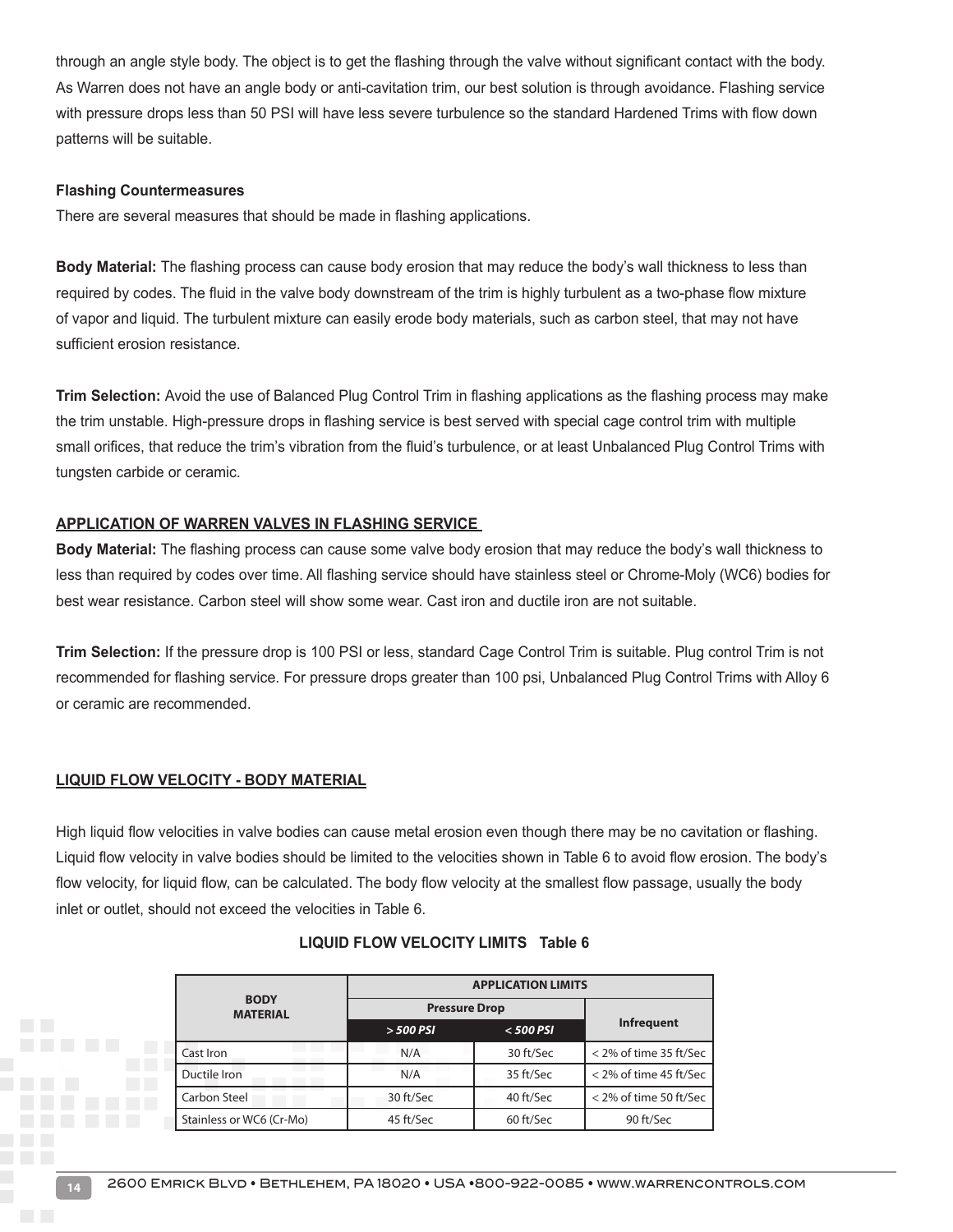through an angle style body. The object is to get the flashing through the valve without significant contact with the body. As Warren does not have an angle body or anti-cavitation trim, our best solution is through avoidance. Flashing service with pressure drops less than 50 PSI will have less severe turbulence so the standard Hardened Trims with flow down patterns will be suitable.

#### **Flashing Countermeasures**

There are several measures that should be made in flashing applications.

**Body Material:** The flashing process can cause body erosion that may reduce the body's wall thickness to less than required by codes. The fluid in the valve body downstream of the trim is highly turbulent as a two-phase flow mixture of vapor and liquid. The turbulent mixture can easily erode body materials, such as carbon steel, that may not have sufficient erosion resistance.

**Trim Selection:** Avoid the use of Balanced Plug Control Trim in flashing applications as the flashing process may make the trim unstable. High-pressure drops in flashing service is best served with special cage control trim with multiple small orifices, that reduce the trim's vibration from the fluid's turbulence, or at least Unbalanced Plug Control Trims with tungsten carbide or ceramic.

#### **APPLICATION OF WARREN VALVES IN FLASHING SERVICE**

**Body Material:** The flashing process can cause some valve body erosion that may reduce the body's wall thickness to less than required by codes over time. All flashing service should have stainless steel or Chrome-Moly (WC6) bodies for best wear resistance. Carbon steel will show some wear. Cast iron and ductile iron are not suitable.

**Trim Selection:** If the pressure drop is 100 PSI or less, standard Cage Control Trim is suitable. Plug control Trim is not recommended for flashing service. For pressure drops greater than 100 psi, Unbalanced Plug Control Trims with Alloy 6 or ceramic are recommended.

#### **LIQUID FLOW VELOCITY - BODY MATERIAL**

High liquid flow velocities in valve bodies can cause metal erosion even though there may be no cavitation or flashing. Liquid flow velocity in valve bodies should be limited to the velocities shown in Table 6 to avoid flow erosion. The body's flow velocity, for liquid flow, can be calculated. The body flow velocity at the smallest flow passage, usually the body inlet or outlet, should not exceed the velocities in Table 6.

|                                | <b>APPLICATION LIMITS</b> |             |                        |  |  |  |
|--------------------------------|---------------------------|-------------|------------------------|--|--|--|
| <b>BODY</b><br><b>MATERIAL</b> | <b>Pressure Drop</b>      |             |                        |  |  |  |
|                                | $>$ 500 PSI               | $<$ 500 PSI | <b>Infrequent</b>      |  |  |  |
| Cast Iron                      | N/A                       | 30 ft/Sec   | < 2% of time 35 ft/Sec |  |  |  |
| Ductile Iron                   | N/A                       | 35 ft/Sec   | < 2% of time 45 ft/Sec |  |  |  |
| Carbon Steel                   | 30 ft/Sec                 | 40 ft/Sec   | < 2% of time 50 ft/Sec |  |  |  |
| Stainless or WC6 (Cr-Mo)       | 45 ft/Sec                 | 60 ft/Sec   | 90 ft/Sec              |  |  |  |

#### **LIQUID FLOW VELOCITY LIMITS Table 6**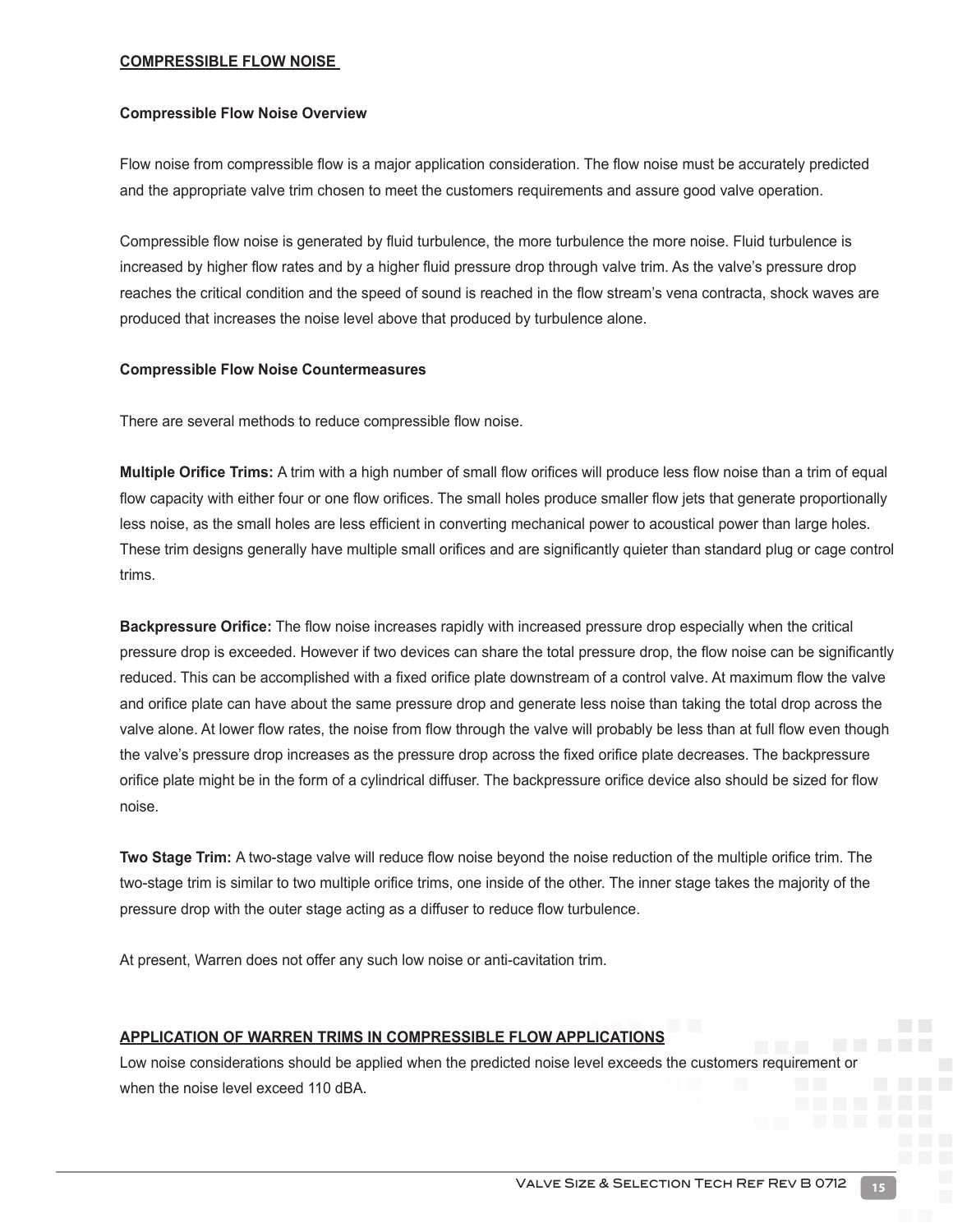#### **COMPRESSIBLE FLOW NOISE**

#### **Compressible Flow Noise Overview**

Flow noise from compressible flow is a major application consideration. The flow noise must be accurately predicted and the appropriate valve trim chosen to meet the customers requirements and assure good valve operation.

Compressible flow noise is generated by fluid turbulence, the more turbulence the more noise. Fluid turbulence is increased by higher flow rates and by a higher fluid pressure drop through valve trim. As the valve's pressure drop reaches the critical condition and the speed of sound is reached in the flow stream's vena contracta, shock waves are produced that increases the noise level above that produced by turbulence alone.

#### **Compressible Flow Noise Countermeasures**

There are several methods to reduce compressible flow noise.

**Multiple Orifice Trims:** A trim with a high number of small flow orifices will produce less flow noise than a trim of equal flow capacity with either four or one flow orifices. The small holes produce smaller flow jets that generate proportionally less noise, as the small holes are less efficient in converting mechanical power to acoustical power than large holes. These trim designs generally have multiple small orifices and are significantly quieter than standard plug or cage control trims.

**Backpressure Orifice:** The flow noise increases rapidly with increased pressure drop especially when the critical pressure drop is exceeded. However if two devices can share the total pressure drop, the flow noise can be significantly reduced. This can be accomplished with a fixed orifice plate downstream of a control valve. At maximum flow the valve and orifice plate can have about the same pressure drop and generate less noise than taking the total drop across the valve alone. At lower flow rates, the noise from flow through the valve will probably be less than at full flow even though the valve's pressure drop increases as the pressure drop across the fixed orifice plate decreases. The backpressure orifice plate might be in the form of a cylindrical diffuser. The backpressure orifice device also should be sized for flow noise.

**Two Stage Trim:** A two-stage valve will reduce flow noise beyond the noise reduction of the multiple orifice trim. The two-stage trim is similar to two multiple orifice trims, one inside of the other. The inner stage takes the majority of the pressure drop with the outer stage acting as a diffuser to reduce flow turbulence.

At present, Warren does not offer any such low noise or anti-cavitation trim.

#### **APPLICATION OF WARREN TRIMS IN COMPRESSIBLE FLOW APPLICATIONS**

Low noise considerations should be applied when the predicted noise level exceeds the customers requirement or when the noise level exceed 110 dBA.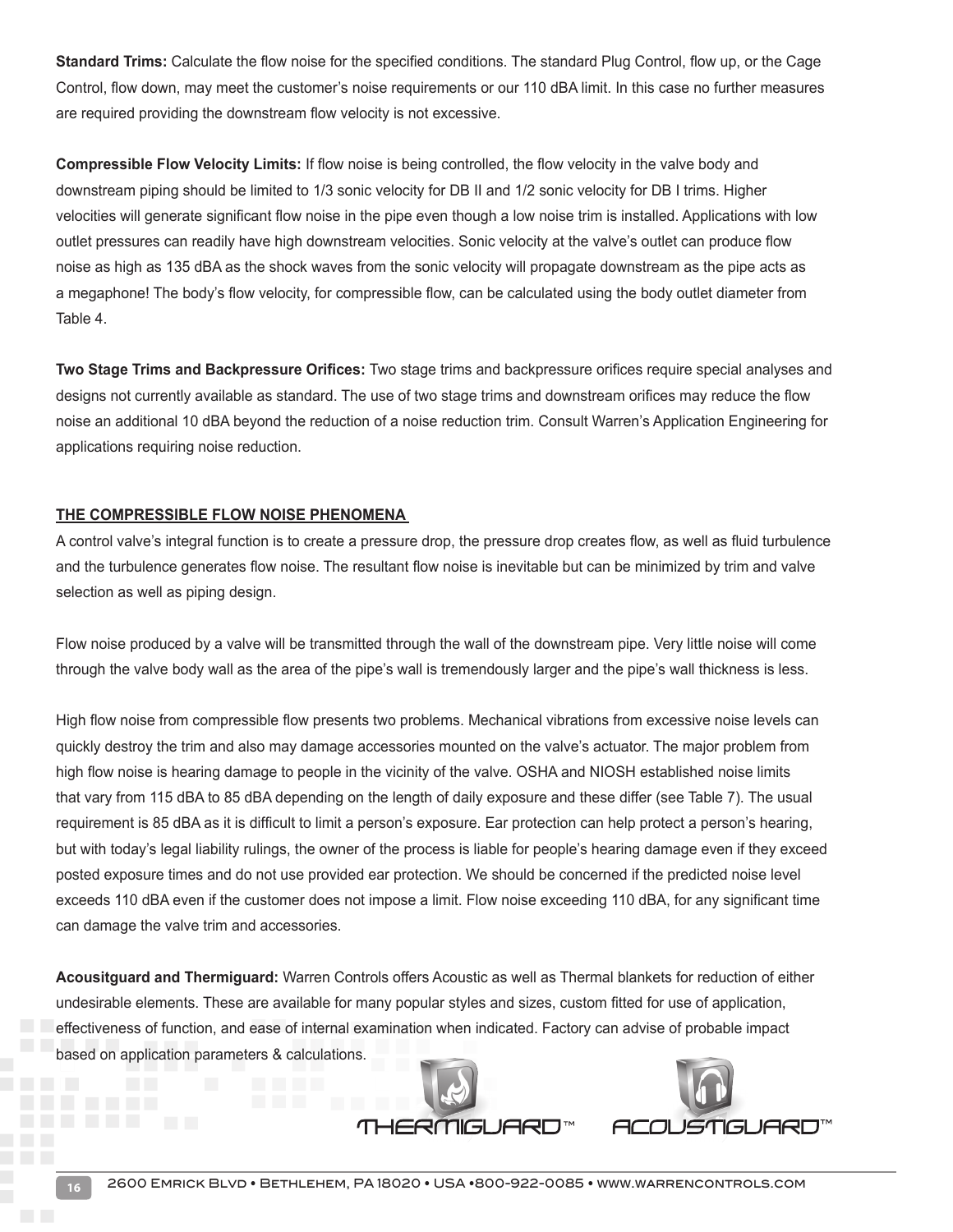**Standard Trims:** Calculate the flow noise for the specified conditions. The standard Plug Control, flow up, or the Cage Control, flow down, may meet the customer's noise requirements or our 110 dBA limit. In this case no further measures are required providing the downstream flow velocity is not excessive.

**Compressible Flow Velocity Limits:** If flow noise is being controlled, the flow velocity in the valve body and downstream piping should be limited to 1/3 sonic velocity for DB II and 1/2 sonic velocity for DB I trims. Higher velocities will generate significant flow noise in the pipe even though a low noise trim is installed. Applications with low outlet pressures can readily have high downstream velocities. Sonic velocity at the valve's outlet can produce flow noise as high as 135 dBA as the shock waves from the sonic velocity will propagate downstream as the pipe acts as a megaphone! The body's flow velocity, for compressible flow, can be calculated using the body outlet diameter from Table 4.

**Two Stage Trims and Backpressure Orifices:** Two stage trims and backpressure orifices require special analyses and designs not currently available as standard. The use of two stage trims and downstream orifices may reduce the flow noise an additional 10 dBA beyond the reduction of a noise reduction trim. Consult Warren's Application Engineering for applications requiring noise reduction.

#### **THE COMPRESSIBLE FLOW NOISE PHENOMENA**

A control valve's integral function is to create a pressure drop, the pressure drop creates flow, as well as fluid turbulence and the turbulence generates flow noise. The resultant flow noise is inevitable but can be minimized by trim and valve selection as well as piping design.

Flow noise produced by a valve will be transmitted through the wall of the downstream pipe. Very little noise will come through the valve body wall as the area of the pipe's wall is tremendously larger and the pipe's wall thickness is less.

High flow noise from compressible flow presents two problems. Mechanical vibrations from excessive noise levels can quickly destroy the trim and also may damage accessories mounted on the valve's actuator. The major problem from high flow noise is hearing damage to people in the vicinity of the valve. OSHA and NIOSH established noise limits that vary from 115 dBA to 85 dBA depending on the length of daily exposure and these differ (see Table 7). The usual requirement is 85 dBA as it is difficult to limit a person's exposure. Ear protection can help protect a person's hearing, but with today's legal liability rulings, the owner of the process is liable for people's hearing damage even if they exceed posted exposure times and do not use provided ear protection. We should be concerned if the predicted noise level exceeds 110 dBA even if the customer does not impose a limit. Flow noise exceeding 110 dBA, for any significant time can damage the valve trim and accessories.

**Acousitguard and Thermiguard:** Warren Controls offers Acoustic as well as Thermal blankets for reduction of either undesirable elements. These are available for many popular styles and sizes, custom fitted for use of application, effectiveness of function, and ease of internal examination when indicated. Factory can advise of probable impact based on application parameters & calculations.

RMGUARD™

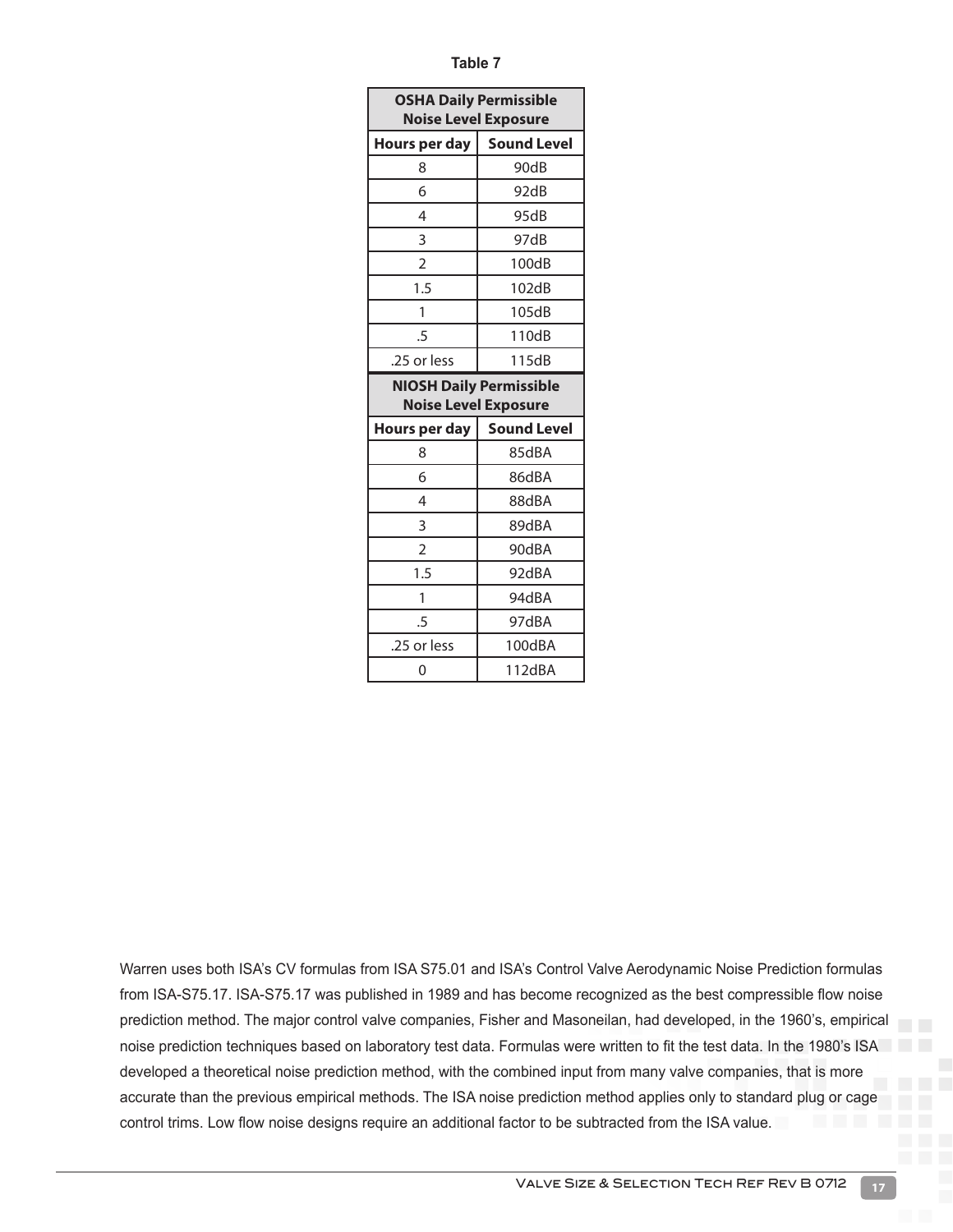| ×<br>×<br>۰, |  |
|--------------|--|
|--------------|--|

| <b>OSHA Daily Permissible</b><br><b>Noise Level Exposure</b>  |                    |  |  |
|---------------------------------------------------------------|--------------------|--|--|
| Hours per day                                                 | <b>Sound Level</b> |  |  |
| 8                                                             | 90dB               |  |  |
| 6                                                             | 92dB               |  |  |
| 4                                                             | 95dB               |  |  |
| 3                                                             | 97dB               |  |  |
| 2                                                             | 100dB              |  |  |
| 1.5                                                           | 102dB              |  |  |
| 1                                                             | 105dB              |  |  |
| .5                                                            | 110dB              |  |  |
| .25 or less                                                   | 115dB              |  |  |
| <b>NIOSH Daily Permissible</b><br><b>Noise Level Exposure</b> |                    |  |  |
| Hours per day                                                 | <b>Sound Level</b> |  |  |
| 8                                                             | 85dBA              |  |  |
| 6                                                             |                    |  |  |
|                                                               | 86dBA              |  |  |
| 4                                                             | 88dBA              |  |  |
| 3                                                             | 89dBA              |  |  |
| $\overline{2}$                                                | 90dBA              |  |  |
| 1.5                                                           | 92dBA              |  |  |
| 1                                                             | 94dBA              |  |  |
| .5                                                            | 97dBA              |  |  |
| .25 or less                                                   | 100dBA             |  |  |

Warren uses both ISA's CV formulas from ISA S75.01 and ISA's Control Valve Aerodynamic Noise Prediction formulas from ISA-S75.17. ISA-S75.17 was published in 1989 and has become recognized as the best compressible flow noise prediction method. The major control valve companies, Fisher and Masoneilan, had developed, in the 1960's, empirical noise prediction techniques based on laboratory test data. Formulas were written to fit the test data. In the 1980's ISA developed a theoretical noise prediction method, with the combined input from many valve companies, that is more accurate than the previous empirical methods. The ISA noise prediction method applies only to standard plug or cage control trims. Low flow noise designs require an additional factor to be subtracted from the ISA value.